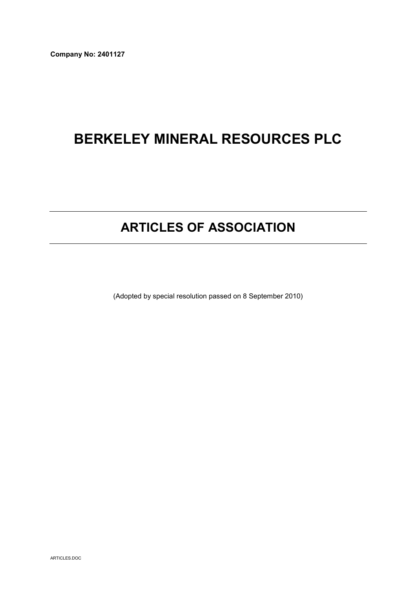Company No: 2401127

# BERKELEY MINERAL RESOURCES PLC

# ARTICLES OF ASSOCIATION

(Adopted by special resolution passed on 8 September 2010)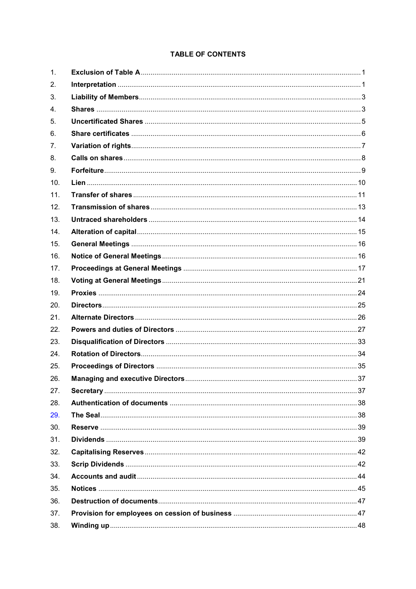# **TABLE OF CONTENTS**

| 1.  |  |
|-----|--|
| 2.  |  |
| 3.  |  |
| 4.  |  |
| 5.  |  |
| 6.  |  |
| 7.  |  |
| 8.  |  |
| 9.  |  |
| 10. |  |
| 11. |  |
| 12. |  |
| 13. |  |
| 14. |  |
| 15. |  |
| 16. |  |
| 17. |  |
| 18. |  |
| 19. |  |
| 20. |  |
| 21. |  |
| 22. |  |
| 23. |  |
| 24. |  |
| 25. |  |
| 26. |  |
| 27. |  |
| 28. |  |
| 29. |  |
| 30. |  |
| 31. |  |
| 32. |  |
| 33. |  |
| 34. |  |
| 35. |  |
| 36. |  |
| 37. |  |
| 38. |  |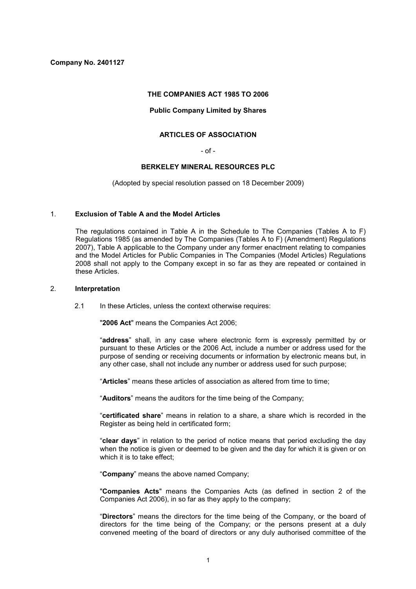Company No. 2401127

## THE COMPANIES ACT 1985 TO 2006

# Public Company Limited by Shares

# ARTICLES OF ASSOCIATION

# $-$  of  $-$

## BERKELEY MINERAL RESOURCES PLC

(Adopted by special resolution passed on 18 December 2009)

#### 1. Exclusion of Table A and the Model Articles

The regulations contained in Table A in the Schedule to The Companies (Tables A to F) Regulations 1985 (as amended by The Companies (Tables A to F) (Amendment) Regulations 2007), Table A applicable to the Company under any former enactment relating to companies and the Model Articles for Public Companies in The Companies (Model Articles) Regulations 2008 shall not apply to the Company except in so far as they are repeated or contained in these Articles.

## 2. Interpretation

2.1 In these Articles, unless the context otherwise requires:

"2006 Act" means the Companies Act 2006;

"address" shall, in any case where electronic form is expressly permitted by or pursuant to these Articles or the 2006 Act, include a number or address used for the purpose of sending or receiving documents or information by electronic means but, in any other case, shall not include any number or address used for such purpose;

"Articles" means these articles of association as altered from time to time;

"Auditors" means the auditors for the time being of the Company;

"certificated share" means in relation to a share, a share which is recorded in the Register as being held in certificated form;

"clear days" in relation to the period of notice means that period excluding the day when the notice is given or deemed to be given and the day for which it is given or on which it is to take effect:

"Company" means the above named Company;

"Companies Acts" means the Companies Acts (as defined in section 2 of the Companies Act 2006), in so far as they apply to the company;

"Directors" means the directors for the time being of the Company, or the board of directors for the time being of the Company; or the persons present at a duly convened meeting of the board of directors or any duly authorised committee of the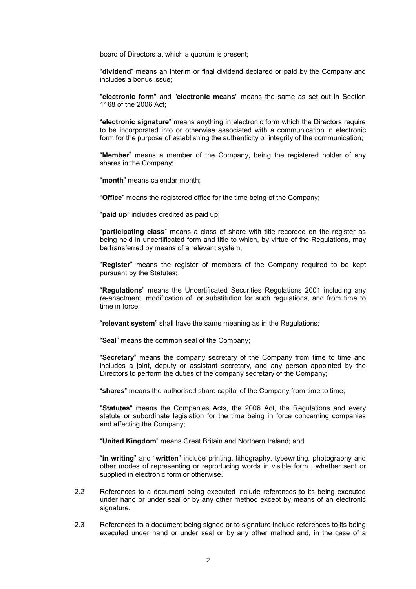board of Directors at which a quorum is present;

"dividend" means an interim or final dividend declared or paid by the Company and includes a bonus issue;

"electronic form" and "electronic means" means the same as set out in Section 1168 of the 2006 Act;

"electronic signature" means anything in electronic form which the Directors require to be incorporated into or otherwise associated with a communication in electronic form for the purpose of establishing the authenticity or integrity of the communication;

"Member" means a member of the Company, being the registered holder of any shares in the Company;

"month" means calendar month;

"Office" means the registered office for the time being of the Company;

"paid up" includes credited as paid up;

"participating class" means a class of share with title recorded on the register as being held in uncertificated form and title to which, by virtue of the Regulations, may be transferred by means of a relevant system;

"Register" means the register of members of the Company required to be kept pursuant by the Statutes;

"Regulations" means the Uncertificated Securities Regulations 2001 including any re-enactment, modification of, or substitution for such regulations, and from time to time in force;

"relevant system" shall have the same meaning as in the Regulations;

"Seal" means the common seal of the Company;

"Secretary" means the company secretary of the Company from time to time and includes a joint, deputy or assistant secretary, and any person appointed by the Directors to perform the duties of the company secretary of the Company;

"shares" means the authorised share capital of the Company from time to time;

"Statutes" means the Companies Acts, the 2006 Act, the Regulations and every statute or subordinate legislation for the time being in force concerning companies and affecting the Company;

"United Kingdom" means Great Britain and Northern Ireland; and

"in writing" and "written" include printing, lithography, typewriting, photography and other modes of representing or reproducing words in visible form , whether sent or supplied in electronic form or otherwise.

- 2.2 References to a document being executed include references to its being executed under hand or under seal or by any other method except by means of an electronic signature.
- 2.3 References to a document being signed or to signature include references to its being executed under hand or under seal or by any other method and, in the case of a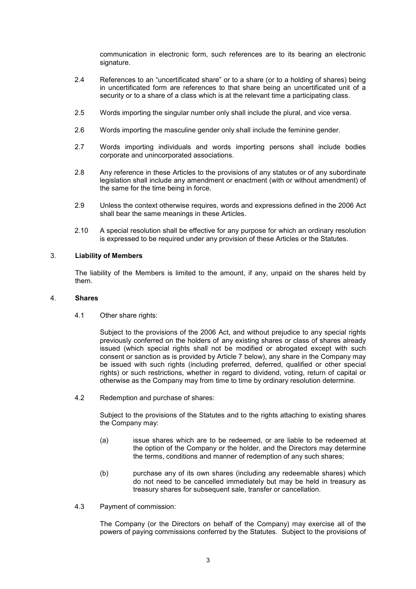communication in electronic form, such references are to its bearing an electronic signature.

- 2.4 References to an "uncertificated share" or to a share (or to a holding of shares) being in uncertificated form are references to that share being an uncertificated unit of a security or to a share of a class which is at the relevant time a participating class.
- 2.5 Words importing the singular number only shall include the plural, and vice versa.
- 2.6 Words importing the masculine gender only shall include the feminine gender.
- 2.7 Words importing individuals and words importing persons shall include bodies corporate and unincorporated associations.
- 2.8 Any reference in these Articles to the provisions of any statutes or of any subordinate legislation shall include any amendment or enactment (with or without amendment) of the same for the time being in force.
- 2.9 Unless the context otherwise requires, words and expressions defined in the 2006 Act shall bear the same meanings in these Articles.
- 2.10 A special resolution shall be effective for any purpose for which an ordinary resolution is expressed to be required under any provision of these Articles or the Statutes.

# 3. Liability of Members

The liability of the Members is limited to the amount, if any, unpaid on the shares held by them.

#### 4. Shares

4.1 Other share rights:

Subject to the provisions of the 2006 Act, and without prejudice to any special rights previously conferred on the holders of any existing shares or class of shares already issued (which special rights shall not be modified or abrogated except with such consent or sanction as is provided by Article 7 below), any share in the Company may be issued with such rights (including preferred, deferred, qualified or other special rights) or such restrictions, whether in regard to dividend, voting, return of capital or otherwise as the Company may from time to time by ordinary resolution determine.

4.2 Redemption and purchase of shares:

Subject to the provisions of the Statutes and to the rights attaching to existing shares the Company may:

- (a) issue shares which are to be redeemed, or are liable to be redeemed at the option of the Company or the holder, and the Directors may determine the terms, conditions and manner of redemption of any such shares;
- (b) purchase any of its own shares (including any redeemable shares) which do not need to be cancelled immediately but may be held in treasury as treasury shares for subsequent sale, transfer or cancellation.
- 4.3 Payment of commission:

The Company (or the Directors on behalf of the Company) may exercise all of the powers of paying commissions conferred by the Statutes. Subject to the provisions of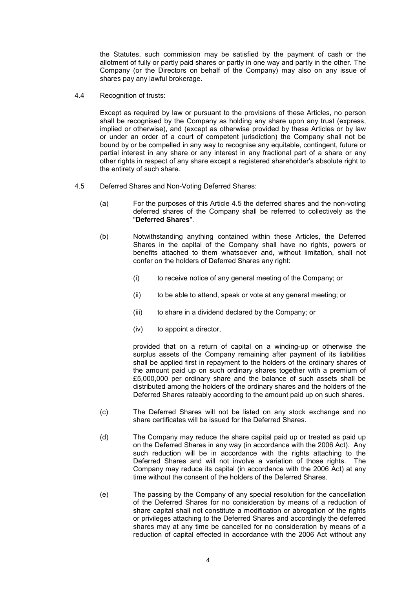the Statutes, such commission may be satisfied by the payment of cash or the allotment of fully or partly paid shares or partly in one way and partly in the other. The Company (or the Directors on behalf of the Company) may also on any issue of shares pay any lawful brokerage.

4.4 Recognition of trusts:

Except as required by law or pursuant to the provisions of these Articles, no person shall be recognised by the Company as holding any share upon any trust (express, implied or otherwise), and (except as otherwise provided by these Articles or by law or under an order of a court of competent jurisdiction) the Company shall not be bound by or be compelled in any way to recognise any equitable, contingent, future or partial interest in any share or any interest in any fractional part of a share or any other rights in respect of any share except a registered shareholder's absolute right to the entirety of such share.

- 4.5 Deferred Shares and Non-Voting Deferred Shares:
	- (a) For the purposes of this Article 4.5 the deferred shares and the non-voting deferred shares of the Company shall be referred to collectively as the "Deferred Shares".
	- (b) Notwithstanding anything contained within these Articles, the Deferred Shares in the capital of the Company shall have no rights, powers or benefits attached to them whatsoever and, without limitation, shall not confer on the holders of Deferred Shares any right:
		- (i) to receive notice of any general meeting of the Company; or
		- (ii) to be able to attend, speak or vote at any general meeting; or
		- (iii) to share in a dividend declared by the Company; or
		- (iv) to appoint a director,

provided that on a return of capital on a winding-up or otherwise the surplus assets of the Company remaining after payment of its liabilities shall be applied first in repayment to the holders of the ordinary shares of the amount paid up on such ordinary shares together with a premium of £5,000,000 per ordinary share and the balance of such assets shall be distributed among the holders of the ordinary shares and the holders of the Deferred Shares rateably according to the amount paid up on such shares.

- (c) The Deferred Shares will not be listed on any stock exchange and no share certificates will be issued for the Deferred Shares.
- (d) The Company may reduce the share capital paid up or treated as paid up on the Deferred Shares in any way (in accordance with the 2006 Act). Any such reduction will be in accordance with the rights attaching to the Deferred Shares and will not involve a variation of those rights. The Company may reduce its capital (in accordance with the 2006 Act) at any time without the consent of the holders of the Deferred Shares.
- (e) The passing by the Company of any special resolution for the cancellation of the Deferred Shares for no consideration by means of a reduction of share capital shall not constitute a modification or abrogation of the rights or privileges attaching to the Deferred Shares and accordingly the deferred shares may at any time be cancelled for no consideration by means of a reduction of capital effected in accordance with the 2006 Act without any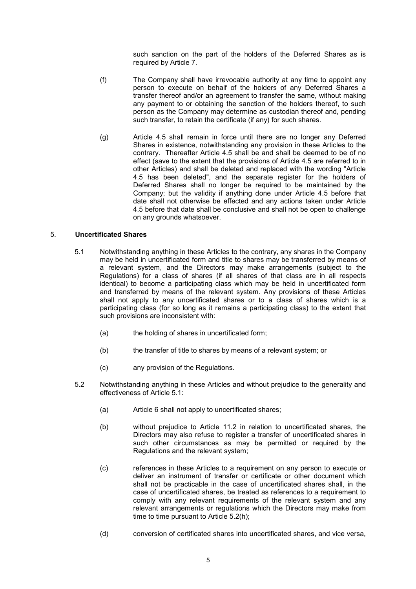such sanction on the part of the holders of the Deferred Shares as is required by Article 7.

- (f) The Company shall have irrevocable authority at any time to appoint any person to execute on behalf of the holders of any Deferred Shares a transfer thereof and/or an agreement to transfer the same, without making any payment to or obtaining the sanction of the holders thereof, to such person as the Company may determine as custodian thereof and, pending such transfer, to retain the certificate (if any) for such shares.
- (g) Article 4.5 shall remain in force until there are no longer any Deferred Shares in existence, notwithstanding any provision in these Articles to the contrary. Thereafter Article 4.5 shall be and shall be deemed to be of no effect (save to the extent that the provisions of Article 4.5 are referred to in other Articles) and shall be deleted and replaced with the wording "Article 4.5 has been deleted", and the separate register for the holders of Deferred Shares shall no longer be required to be maintained by the Company; but the validity if anything done under Article 4.5 before that date shall not otherwise be effected and any actions taken under Article 4.5 before that date shall be conclusive and shall not be open to challenge on any grounds whatsoever.

# 5. Uncertificated Shares

- 5.1 Notwithstanding anything in these Articles to the contrary, any shares in the Company may be held in uncertificated form and title to shares may be transferred by means of a relevant system, and the Directors may make arrangements (subject to the Regulations) for a class of shares (if all shares of that class are in all respects identical) to become a participating class which may be held in uncertificated form and transferred by means of the relevant system. Any provisions of these Articles shall not apply to any uncertificated shares or to a class of shares which is a participating class (for so long as it remains a participating class) to the extent that such provisions are inconsistent with:
	- (a) the holding of shares in uncertificated form;
	- (b) the transfer of title to shares by means of a relevant system; or
	- (c) any provision of the Regulations.
- 5.2 Notwithstanding anything in these Articles and without prejudice to the generality and effectiveness of Article 5.1:
	- (a) Article 6 shall not apply to uncertificated shares;
	- (b) without prejudice to Article 11.2 in relation to uncertificated shares, the Directors may also refuse to register a transfer of uncertificated shares in such other circumstances as may be permitted or required by the Regulations and the relevant system;
	- (c) references in these Articles to a requirement on any person to execute or deliver an instrument of transfer or certificate or other document which shall not be practicable in the case of uncertificated shares shall, in the case of uncertificated shares, be treated as references to a requirement to comply with any relevant requirements of the relevant system and any relevant arrangements or regulations which the Directors may make from time to time pursuant to Article 5.2(h);
	- (d) conversion of certificated shares into uncertificated shares, and vice versa,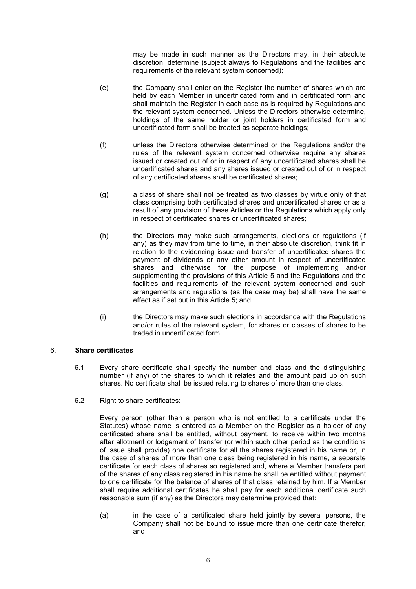may be made in such manner as the Directors may, in their absolute discretion, determine (subject always to Regulations and the facilities and requirements of the relevant system concerned);

- (e) the Company shall enter on the Register the number of shares which are held by each Member in uncertificated form and in certificated form and shall maintain the Register in each case as is required by Regulations and the relevant system concerned. Unless the Directors otherwise determine, holdings of the same holder or joint holders in certificated form and uncertificated form shall be treated as separate holdings;
- (f) unless the Directors otherwise determined or the Regulations and/or the rules of the relevant system concerned otherwise require any shares issued or created out of or in respect of any uncertificated shares shall be uncertificated shares and any shares issued or created out of or in respect of any certificated shares shall be certificated shares;
- (g) a class of share shall not be treated as two classes by virtue only of that class comprising both certificated shares and uncertificated shares or as a result of any provision of these Articles or the Regulations which apply only in respect of certificated shares or uncertificated shares;
- (h) the Directors may make such arrangements, elections or regulations (if any) as they may from time to time, in their absolute discretion, think fit in relation to the evidencing issue and transfer of uncertificated shares the payment of dividends or any other amount in respect of uncertificated shares and otherwise for the purpose of implementing and/or supplementing the provisions of this Article 5 and the Regulations and the facilities and requirements of the relevant system concerned and such arrangements and regulations (as the case may be) shall have the same effect as if set out in this Article 5; and
- (i) the Directors may make such elections in accordance with the Regulations and/or rules of the relevant system, for shares or classes of shares to be traded in uncertificated form.

# 6. Share certificates

- 6.1 Every share certificate shall specify the number and class and the distinguishing number (if any) of the shares to which it relates and the amount paid up on such shares. No certificate shall be issued relating to shares of more than one class.
- 6.2 Right to share certificates:

Every person (other than a person who is not entitled to a certificate under the Statutes) whose name is entered as a Member on the Register as a holder of any certificated share shall be entitled, without payment, to receive within two months after allotment or lodgement of transfer (or within such other period as the conditions of issue shall provide) one certificate for all the shares registered in his name or, in the case of shares of more than one class being registered in his name, a separate certificate for each class of shares so registered and, where a Member transfers part of the shares of any class registered in his name he shall be entitled without payment to one certificate for the balance of shares of that class retained by him. If a Member shall require additional certificates he shall pay for each additional certificate such reasonable sum (if any) as the Directors may determine provided that:

(a) in the case of a certificated share held jointly by several persons, the Company shall not be bound to issue more than one certificate therefor; and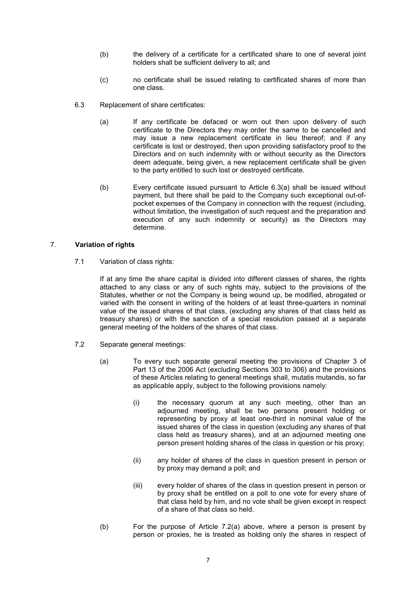- (b) the delivery of a certificate for a certificated share to one of several joint holders shall be sufficient delivery to all; and
- (c) no certificate shall be issued relating to certificated shares of more than one class.
- 6.3 Replacement of share certificates:
	- (a) If any certificate be defaced or worn out then upon delivery of such certificate to the Directors they may order the same to be cancelled and may issue a new replacement certificate in lieu thereof; and if any certificate is lost or destroyed, then upon providing satisfactory proof to the Directors and on such indemnity with or without security as the Directors deem adequate, being given, a new replacement certificate shall be given to the party entitled to such lost or destroyed certificate.
	- (b) Every certificate issued pursuant to Article 6.3(a) shall be issued without payment, but there shall be paid to the Company such exceptional out-ofpocket expenses of the Company in connection with the request (including, without limitation, the investigation of such request and the preparation and execution of any such indemnity or security) as the Directors may determine.

# 7. Variation of rights

7.1 Variation of class rights:

If at any time the share capital is divided into different classes of shares, the rights attached to any class or any of such rights may, subject to the provisions of the Statutes, whether or not the Company is being wound up, be modified, abrogated or varied with the consent in writing of the holders of at least three-quarters in nominal value of the issued shares of that class, (excluding any shares of that class held as treasury shares) or with the sanction of a special resolution passed at a separate general meeting of the holders of the shares of that class.

- 7.2 Separate general meetings:
	- (a) To every such separate general meeting the provisions of Chapter 3 of Part 13 of the 2006 Act (excluding Sections 303 to 306) and the provisions of these Articles relating to general meetings shall, mutatis mutandis, so far as applicable apply, subject to the following provisions namely:
		- (i) the necessary quorum at any such meeting, other than an adjourned meeting, shall be two persons present holding or representing by proxy at least one-third in nominal value of the issued shares of the class in question (excluding any shares of that class held as treasury shares), and at an adjourned meeting one person present holding shares of the class in question or his proxy;
		- (ii) any holder of shares of the class in question present in person or by proxy may demand a poll; and
		- (iii) every holder of shares of the class in question present in person or by proxy shall be entitled on a poll to one vote for every share of that class held by him, and no vote shall be given except in respect of a share of that class so held.
	- (b) For the purpose of Article 7.2(a) above, where a person is present by person or proxies, he is treated as holding only the shares in respect of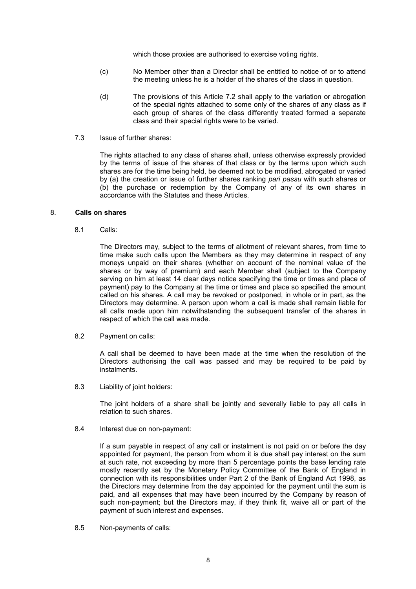which those proxies are authorised to exercise voting rights.

- (c) No Member other than a Director shall be entitled to notice of or to attend the meeting unless he is a holder of the shares of the class in question.
- (d) The provisions of this Article 7.2 shall apply to the variation or abrogation of the special rights attached to some only of the shares of any class as if each group of shares of the class differently treated formed a separate class and their special rights were to be varied.
- 7.3 Issue of further shares:

The rights attached to any class of shares shall, unless otherwise expressly provided by the terms of issue of the shares of that class or by the terms upon which such shares are for the time being held, be deemed not to be modified, abrogated or varied by (a) the creation or issue of further shares ranking pari passu with such shares or (b) the purchase or redemption by the Company of any of its own shares in accordance with the Statutes and these Articles.

# 8. Calls on shares

8.1 Calls:

The Directors may, subject to the terms of allotment of relevant shares, from time to time make such calls upon the Members as they may determine in respect of any moneys unpaid on their shares (whether on account of the nominal value of the shares or by way of premium) and each Member shall (subject to the Company serving on him at least 14 clear days notice specifying the time or times and place of payment) pay to the Company at the time or times and place so specified the amount called on his shares. A call may be revoked or postponed, in whole or in part, as the Directors may determine. A person upon whom a call is made shall remain liable for all calls made upon him notwithstanding the subsequent transfer of the shares in respect of which the call was made.

8.2 Payment on calls:

A call shall be deemed to have been made at the time when the resolution of the Directors authorising the call was passed and may be required to be paid by instalments.

8.3 Liability of joint holders:

The joint holders of a share shall be jointly and severally liable to pay all calls in relation to such shares.

8.4 Interest due on non-payment:

If a sum payable in respect of any call or instalment is not paid on or before the day appointed for payment, the person from whom it is due shall pay interest on the sum at such rate, not exceeding by more than 5 percentage points the base lending rate mostly recently set by the Monetary Policy Committee of the Bank of England in connection with its responsibilities under Part 2 of the Bank of England Act 1998, as the Directors may determine from the day appointed for the payment until the sum is paid, and all expenses that may have been incurred by the Company by reason of such non-payment; but the Directors may, if they think fit, waive all or part of the payment of such interest and expenses.

8.5 Non-payments of calls: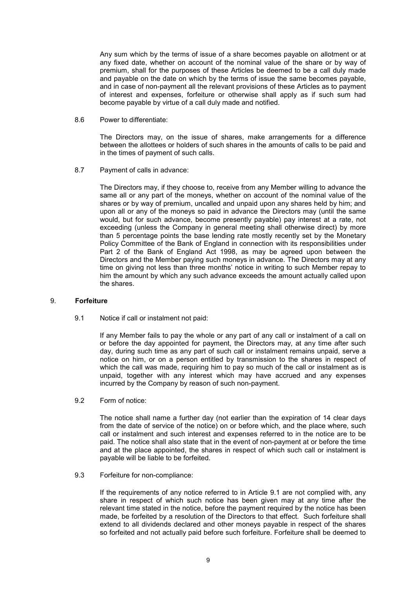Any sum which by the terms of issue of a share becomes payable on allotment or at any fixed date, whether on account of the nominal value of the share or by way of premium, shall for the purposes of these Articles be deemed to be a call duly made and payable on the date on which by the terms of issue the same becomes payable, and in case of non-payment all the relevant provisions of these Articles as to payment of interest and expenses, forfeiture or otherwise shall apply as if such sum had become payable by virtue of a call duly made and notified.

8.6 Power to differentiate:

The Directors may, on the issue of shares, make arrangements for a difference between the allottees or holders of such shares in the amounts of calls to be paid and in the times of payment of such calls.

8.7 Payment of calls in advance:

The Directors may, if they choose to, receive from any Member willing to advance the same all or any part of the moneys, whether on account of the nominal value of the shares or by way of premium, uncalled and unpaid upon any shares held by him; and upon all or any of the moneys so paid in advance the Directors may (until the same would, but for such advance, become presently payable) pay interest at a rate, not exceeding (unless the Company in general meeting shall otherwise direct) by more than 5 percentage points the base lending rate mostly recently set by the Monetary Policy Committee of the Bank of England in connection with its responsibilities under Part 2 of the Bank of England Act 1998, as may be agreed upon between the Directors and the Member paying such moneys in advance. The Directors may at any time on giving not less than three months' notice in writing to such Member repay to him the amount by which any such advance exceeds the amount actually called upon the shares.

#### 9. Forfeiture

9.1 Notice if call or instalment not paid:

If any Member fails to pay the whole or any part of any call or instalment of a call on or before the day appointed for payment, the Directors may, at any time after such day, during such time as any part of such call or instalment remains unpaid, serve a notice on him, or on a person entitled by transmission to the shares in respect of which the call was made, requiring him to pay so much of the call or instalment as is unpaid, together with any interest which may have accrued and any expenses incurred by the Company by reason of such non-payment.

9.2 Form of notice:

The notice shall name a further day (not earlier than the expiration of 14 clear days from the date of service of the notice) on or before which, and the place where, such call or instalment and such interest and expenses referred to in the notice are to be paid. The notice shall also state that in the event of non-payment at or before the time and at the place appointed, the shares in respect of which such call or instalment is payable will be liable to be forfeited.

9.3 Forfeiture for non-compliance:

If the requirements of any notice referred to in Article 9.1 are not complied with, any share in respect of which such notice has been given may at any time after the relevant time stated in the notice, before the payment required by the notice has been made, be forfeited by a resolution of the Directors to that effect. Such forfeiture shall extend to all dividends declared and other moneys payable in respect of the shares so forfeited and not actually paid before such forfeiture. Forfeiture shall be deemed to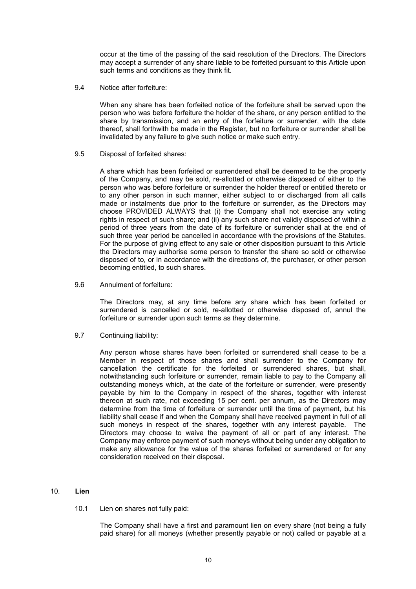occur at the time of the passing of the said resolution of the Directors. The Directors may accept a surrender of any share liable to be forfeited pursuant to this Article upon such terms and conditions as they think fit.

9.4 Notice after forfeiture:

When any share has been forfeited notice of the forfeiture shall be served upon the person who was before forfeiture the holder of the share, or any person entitled to the share by transmission, and an entry of the forfeiture or surrender, with the date thereof, shall forthwith be made in the Register, but no forfeiture or surrender shall be invalidated by any failure to give such notice or make such entry.

9.5 Disposal of forfeited shares:

A share which has been forfeited or surrendered shall be deemed to be the property of the Company, and may be sold, re-allotted or otherwise disposed of either to the person who was before forfeiture or surrender the holder thereof or entitled thereto or to any other person in such manner, either subject to or discharged from all calls made or instalments due prior to the forfeiture or surrender, as the Directors may choose PROVIDED ALWAYS that (i) the Company shall not exercise any voting rights in respect of such share; and (ii) any such share not validly disposed of within a period of three years from the date of its forfeiture or surrender shall at the end of such three year period be cancelled in accordance with the provisions of the Statutes. For the purpose of giving effect to any sale or other disposition pursuant to this Article the Directors may authorise some person to transfer the share so sold or otherwise disposed of to, or in accordance with the directions of, the purchaser, or other person becoming entitled, to such shares.

9.6 Annulment of forfeiture:

The Directors may, at any time before any share which has been forfeited or surrendered is cancelled or sold, re-allotted or otherwise disposed of, annul the forfeiture or surrender upon such terms as they determine.

9.7 Continuing liability:

Any person whose shares have been forfeited or surrendered shall cease to be a Member in respect of those shares and shall surrender to the Company for cancellation the certificate for the forfeited or surrendered shares, but shall, notwithstanding such forfeiture or surrender, remain liable to pay to the Company all outstanding moneys which, at the date of the forfeiture or surrender, were presently payable by him to the Company in respect of the shares, together with interest thereon at such rate, not exceeding 15 per cent. per annum, as the Directors may determine from the time of forfeiture or surrender until the time of payment, but his liability shall cease if and when the Company shall have received payment in full of all such moneys in respect of the shares, together with any interest payable. The Directors may choose to waive the payment of all or part of any interest. The Company may enforce payment of such moneys without being under any obligation to make any allowance for the value of the shares forfeited or surrendered or for any consideration received on their disposal.

#### 10. Lien

10.1 Lien on shares not fully paid:

The Company shall have a first and paramount lien on every share (not being a fully paid share) for all moneys (whether presently payable or not) called or payable at a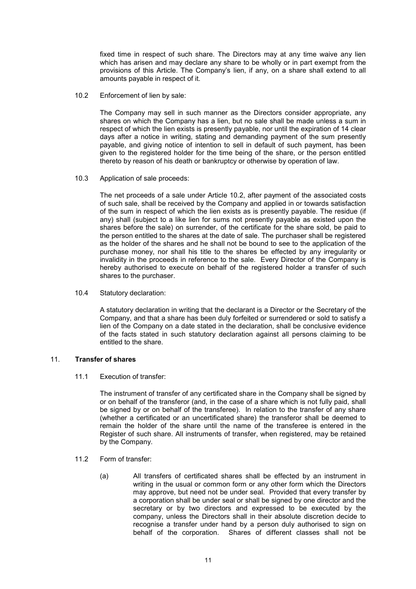fixed time in respect of such share. The Directors may at any time waive any lien which has arisen and may declare any share to be wholly or in part exempt from the provisions of this Article. The Company's lien, if any, on a share shall extend to all amounts payable in respect of it.

10.2 Enforcement of lien by sale:

The Company may sell in such manner as the Directors consider appropriate, any shares on which the Company has a lien, but no sale shall be made unless a sum in respect of which the lien exists is presently payable, nor until the expiration of 14 clear days after a notice in writing, stating and demanding payment of the sum presently payable, and giving notice of intention to sell in default of such payment, has been given to the registered holder for the time being of the share, or the person entitled thereto by reason of his death or bankruptcy or otherwise by operation of law.

10.3 Application of sale proceeds:

The net proceeds of a sale under Article 10.2, after payment of the associated costs of such sale, shall be received by the Company and applied in or towards satisfaction of the sum in respect of which the lien exists as is presently payable. The residue (if any) shall (subject to a like lien for sums not presently payable as existed upon the shares before the sale) on surrender, of the certificate for the share sold, be paid to the person entitled to the shares at the date of sale. The purchaser shall be registered as the holder of the shares and he shall not be bound to see to the application of the purchase money, nor shall his title to the shares be effected by any irregularity or invalidity in the proceeds in reference to the sale. Every Director of the Company is hereby authorised to execute on behalf of the registered holder a transfer of such shares to the purchaser.

10.4 Statutory declaration:

A statutory declaration in writing that the declarant is a Director or the Secretary of the Company, and that a share has been duly forfeited or surrendered or sold to satisfy a lien of the Company on a date stated in the declaration, shall be conclusive evidence of the facts stated in such statutory declaration against all persons claiming to be entitled to the share.

# 11. Transfer of shares

11.1 Execution of transfer:

The instrument of transfer of any certificated share in the Company shall be signed by or on behalf of the transferor (and, in the case of a share which is not fully paid, shall be signed by or on behalf of the transferee). In relation to the transfer of any share (whether a certificated or an uncertificated share) the transferor shall be deemed to remain the holder of the share until the name of the transferee is entered in the Register of such share. All instruments of transfer, when registered, may be retained by the Company.

- 11.2 Form of transfer:
	- (a) All transfers of certificated shares shall be effected by an instrument in writing in the usual or common form or any other form which the Directors may approve, but need not be under seal. Provided that every transfer by a corporation shall be under seal or shall be signed by one director and the secretary or by two directors and expressed to be executed by the company, unless the Directors shall in their absolute discretion decide to recognise a transfer under hand by a person duly authorised to sign on behalf of the corporation. Shares of different classes shall not be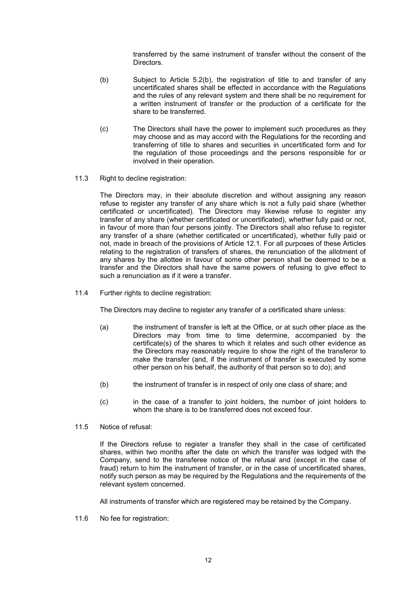transferred by the same instrument of transfer without the consent of the Directors.

- (b) Subject to Article 5.2(b), the registration of title to and transfer of any uncertificated shares shall be effected in accordance with the Regulations and the rules of any relevant system and there shall be no requirement for a written instrument of transfer or the production of a certificate for the share to be transferred.
- (c) The Directors shall have the power to implement such procedures as they may choose and as may accord with the Regulations for the recording and transferring of title to shares and securities in uncertificated form and for the regulation of those proceedings and the persons responsible for or involved in their operation.
- 11.3 Right to decline registration:

The Directors may, in their absolute discretion and without assigning any reason refuse to register any transfer of any share which is not a fully paid share (whether certificated or uncertificated). The Directors may likewise refuse to register any transfer of any share (whether certificated or uncertificated), whether fully paid or not, in favour of more than four persons jointly. The Directors shall also refuse to register any transfer of a share (whether certificated or uncertificated), whether fully paid or not, made in breach of the provisions of Article 12.1. For all purposes of these Articles relating to the registration of transfers of shares, the renunciation of the allotment of any shares by the allottee in favour of some other person shall be deemed to be a transfer and the Directors shall have the same powers of refusing to give effect to such a renunciation as if it were a transfer.

11.4 Further rights to decline registration:

The Directors may decline to register any transfer of a certificated share unless:

- (a) the instrument of transfer is left at the Office, or at such other place as the Directors may from time to time determine, accompanied by the certificate(s) of the shares to which it relates and such other evidence as the Directors may reasonably require to show the right of the transferor to make the transfer (and, if the instrument of transfer is executed by some other person on his behalf, the authority of that person so to do); and
- (b) the instrument of transfer is in respect of only one class of share; and
- (c) in the case of a transfer to joint holders, the number of joint holders to whom the share is to be transferred does not exceed four.
- 11.5 Notice of refusal:

If the Directors refuse to register a transfer they shall in the case of certificated shares, within two months after the date on which the transfer was lodged with the Company, send to the transferee notice of the refusal and (except in the case of fraud) return to him the instrument of transfer, or in the case of uncertificated shares, notify such person as may be required by the Regulations and the requirements of the relevant system concerned.

All instruments of transfer which are registered may be retained by the Company.

11.6 No fee for registration: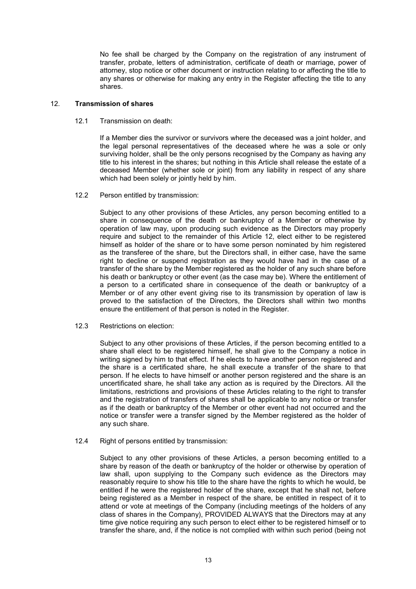No fee shall be charged by the Company on the registration of any instrument of transfer, probate, letters of administration, certificate of death or marriage, power of attorney, stop notice or other document or instruction relating to or affecting the title to any shares or otherwise for making any entry in the Register affecting the title to any shares.

# 12. Transmission of shares

# 12.1 Transmission on death:

If a Member dies the survivor or survivors where the deceased was a joint holder, and the legal personal representatives of the deceased where he was a sole or only surviving holder, shall be the only persons recognised by the Company as having any title to his interest in the shares; but nothing in this Article shall release the estate of a deceased Member (whether sole or joint) from any liability in respect of any share which had been solely or jointly held by him.

12.2 Person entitled by transmission:

Subject to any other provisions of these Articles, any person becoming entitled to a share in consequence of the death or bankruptcy of a Member or otherwise by operation of law may, upon producing such evidence as the Directors may properly require and subject to the remainder of this Article 12, elect either to be registered himself as holder of the share or to have some person nominated by him registered as the transferee of the share, but the Directors shall, in either case, have the same right to decline or suspend registration as they would have had in the case of a transfer of the share by the Member registered as the holder of any such share before his death or bankruptcy or other event (as the case may be). Where the entitlement of a person to a certificated share in consequence of the death or bankruptcy of a Member or of any other event giving rise to its transmission by operation of law is proved to the satisfaction of the Directors, the Directors shall within two months ensure the entitlement of that person is noted in the Register.

12.3 Restrictions on election:

Subject to any other provisions of these Articles, if the person becoming entitled to a share shall elect to be registered himself, he shall give to the Company a notice in writing signed by him to that effect. If he elects to have another person registered and the share is a certificated share, he shall execute a transfer of the share to that person. If he elects to have himself or another person registered and the share is an uncertificated share, he shall take any action as is required by the Directors. All the limitations, restrictions and provisions of these Articles relating to the right to transfer and the registration of transfers of shares shall be applicable to any notice or transfer as if the death or bankruptcy of the Member or other event had not occurred and the notice or transfer were a transfer signed by the Member registered as the holder of any such share.

12.4 Right of persons entitled by transmission:

Subject to any other provisions of these Articles, a person becoming entitled to a share by reason of the death or bankruptcy of the holder or otherwise by operation of law shall, upon supplying to the Company such evidence as the Directors may reasonably require to show his title to the share have the rights to which he would, be entitled if he were the registered holder of the share, except that he shall not, before being registered as a Member in respect of the share, be entitled in respect of it to attend or vote at meetings of the Company (including meetings of the holders of any class of shares in the Company), PROVIDED ALWAYS that the Directors may at any time give notice requiring any such person to elect either to be registered himself or to transfer the share, and, if the notice is not complied with within such period (being not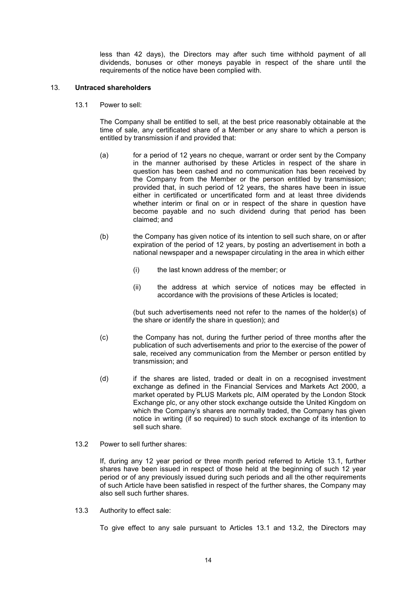less than 42 days), the Directors may after such time withhold payment of all dividends, bonuses or other moneys payable in respect of the share until the requirements of the notice have been complied with.

# 13. Untraced shareholders

13.1 Power to sell:

The Company shall be entitled to sell, at the best price reasonably obtainable at the time of sale, any certificated share of a Member or any share to which a person is entitled by transmission if and provided that:

- (a) for a period of 12 years no cheque, warrant or order sent by the Company in the manner authorised by these Articles in respect of the share in question has been cashed and no communication has been received by the Company from the Member or the person entitled by transmission; provided that, in such period of 12 years, the shares have been in issue either in certificated or uncertificated form and at least three dividends whether interim or final on or in respect of the share in question have become payable and no such dividend during that period has been claimed; and
- (b) the Company has given notice of its intention to sell such share, on or after expiration of the period of 12 years, by posting an advertisement in both a national newspaper and a newspaper circulating in the area in which either
	- (i) the last known address of the member; or
	- (ii) the address at which service of notices may be effected in accordance with the provisions of these Articles is located;

(but such advertisements need not refer to the names of the holder(s) of the share or identify the share in question); and

- (c) the Company has not, during the further period of three months after the publication of such advertisements and prior to the exercise of the power of sale, received any communication from the Member or person entitled by transmission; and
- (d) if the shares are listed, traded or dealt in on a recognised investment exchange as defined in the Financial Services and Markets Act 2000, a market operated by PLUS Markets plc, AIM operated by the London Stock Exchange plc, or any other stock exchange outside the United Kingdom on which the Company's shares are normally traded, the Company has given notice in writing (if so required) to such stock exchange of its intention to sell such share.
- 13.2 Power to sell further shares:

If, during any 12 year period or three month period referred to Article 13.1, further shares have been issued in respect of those held at the beginning of such 12 year period or of any previously issued during such periods and all the other requirements of such Article have been satisfied in respect of the further shares, the Company may also sell such further shares.

13.3 Authority to effect sale:

To give effect to any sale pursuant to Articles 13.1 and 13.2, the Directors may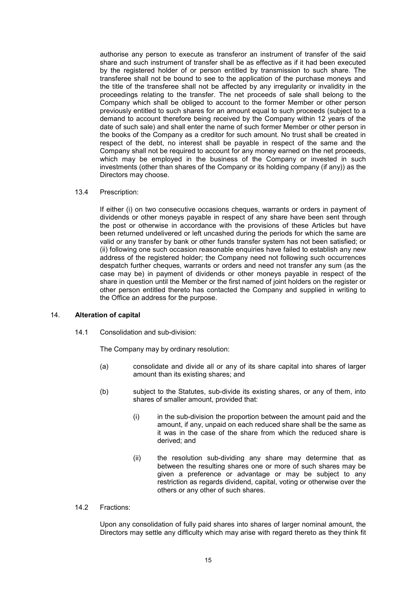authorise any person to execute as transferor an instrument of transfer of the said share and such instrument of transfer shall be as effective as if it had been executed by the registered holder of or person entitled by transmission to such share. The transferee shall not be bound to see to the application of the purchase moneys and the title of the transferee shall not be affected by any irregularity or invalidity in the proceedings relating to the transfer. The net proceeds of sale shall belong to the Company which shall be obliged to account to the former Member or other person previously entitled to such shares for an amount equal to such proceeds (subject to a demand to account therefore being received by the Company within 12 years of the date of such sale) and shall enter the name of such former Member or other person in the books of the Company as a creditor for such amount. No trust shall be created in respect of the debt, no interest shall be payable in respect of the same and the Company shall not be required to account for any money earned on the net proceeds, which may be employed in the business of the Company or invested in such investments (other than shares of the Company or its holding company (if any)) as the Directors may choose.

#### 13.4 Prescription:

If either (i) on two consecutive occasions cheques, warrants or orders in payment of dividends or other moneys payable in respect of any share have been sent through the post or otherwise in accordance with the provisions of these Articles but have been returned undelivered or left uncashed during the periods for which the same are valid or any transfer by bank or other funds transfer system has not been satisfied; or (ii) following one such occasion reasonable enquiries have failed to establish any new address of the registered holder; the Company need not following such occurrences despatch further cheques, warrants or orders and need not transfer any sum (as the case may be) in payment of dividends or other moneys payable in respect of the share in question until the Member or the first named of joint holders on the register or other person entitled thereto has contacted the Company and supplied in writing to the Office an address for the purpose.

#### 14. Alteration of capital

14.1 Consolidation and sub-division:

The Company may by ordinary resolution:

- (a) consolidate and divide all or any of its share capital into shares of larger amount than its existing shares; and
- (b) subject to the Statutes, sub-divide its existing shares, or any of them, into shares of smaller amount, provided that:
	- (i) in the sub-division the proportion between the amount paid and the amount, if any, unpaid on each reduced share shall be the same as it was in the case of the share from which the reduced share is derived; and
	- (ii) the resolution sub-dividing any share may determine that as between the resulting shares one or more of such shares may be given a preference or advantage or may be subject to any restriction as regards dividend, capital, voting or otherwise over the others or any other of such shares.

#### 14.2 Fractions:

Upon any consolidation of fully paid shares into shares of larger nominal amount, the Directors may settle any difficulty which may arise with regard thereto as they think fit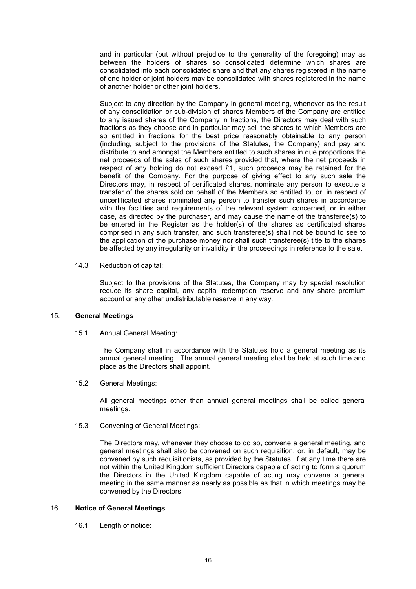and in particular (but without prejudice to the generality of the foregoing) may as between the holders of shares so consolidated determine which shares are consolidated into each consolidated share and that any shares registered in the name of one holder or joint holders may be consolidated with shares registered in the name of another holder or other joint holders.

Subject to any direction by the Company in general meeting, whenever as the result of any consolidation or sub-division of shares Members of the Company are entitled to any issued shares of the Company in fractions, the Directors may deal with such fractions as they choose and in particular may sell the shares to which Members are so entitled in fractions for the best price reasonably obtainable to any person (including, subject to the provisions of the Statutes, the Company) and pay and distribute to and amongst the Members entitled to such shares in due proportions the net proceeds of the sales of such shares provided that, where the net proceeds in respect of any holding do not exceed £1, such proceeds may be retained for the benefit of the Company. For the purpose of giving effect to any such sale the Directors may, in respect of certificated shares, nominate any person to execute a transfer of the shares sold on behalf of the Members so entitled to, or, in respect of uncertificated shares nominated any person to transfer such shares in accordance with the facilities and requirements of the relevant system concerned, or in either case, as directed by the purchaser, and may cause the name of the transferee(s) to be entered in the Register as the holder(s) of the shares as certificated shares comprised in any such transfer, and such transferee(s) shall not be bound to see to the application of the purchase money nor shall such transferee(s) title to the shares be affected by any irregularity or invalidity in the proceedings in reference to the sale.

14.3 Reduction of capital:

Subject to the provisions of the Statutes, the Company may by special resolution reduce its share capital, any capital redemption reserve and any share premium account or any other undistributable reserve in any way.

#### 15. General Meetings

15.1 Annual General Meeting:

The Company shall in accordance with the Statutes hold a general meeting as its annual general meeting. The annual general meeting shall be held at such time and place as the Directors shall appoint.

15.2 General Meetings:

All general meetings other than annual general meetings shall be called general meetings.

15.3 Convening of General Meetings:

The Directors may, whenever they choose to do so, convene a general meeting, and general meetings shall also be convened on such requisition, or, in default, may be convened by such requisitionists, as provided by the Statutes. If at any time there are not within the United Kingdom sufficient Directors capable of acting to form a quorum the Directors in the United Kingdom capable of acting may convene a general meeting in the same manner as nearly as possible as that in which meetings may be convened by the Directors.

#### 16. Notice of General Meetings

16.1 Length of notice: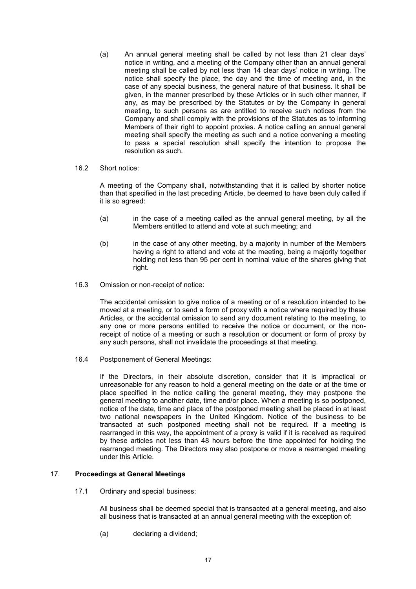(a) An annual general meeting shall be called by not less than 21 clear days' notice in writing, and a meeting of the Company other than an annual general meeting shall be called by not less than 14 clear days' notice in writing. The notice shall specify the place, the day and the time of meeting and, in the case of any special business, the general nature of that business. It shall be given, in the manner prescribed by these Articles or in such other manner, if any, as may be prescribed by the Statutes or by the Company in general meeting, to such persons as are entitled to receive such notices from the Company and shall comply with the provisions of the Statutes as to informing Members of their right to appoint proxies. A notice calling an annual general meeting shall specify the meeting as such and a notice convening a meeting to pass a special resolution shall specify the intention to propose the resolution as such.

#### 16.2 Short notice:

A meeting of the Company shall, notwithstanding that it is called by shorter notice than that specified in the last preceding Article, be deemed to have been duly called if it is so agreed:

- (a) in the case of a meeting called as the annual general meeting, by all the Members entitled to attend and vote at such meeting; and
- (b) in the case of any other meeting, by a majority in number of the Members having a right to attend and vote at the meeting, being a majority together holding not less than 95 per cent in nominal value of the shares giving that right.
- 16.3 Omission or non-receipt of notice:

The accidental omission to give notice of a meeting or of a resolution intended to be moved at a meeting, or to send a form of proxy with a notice where required by these Articles, or the accidental omission to send any document relating to the meeting, to any one or more persons entitled to receive the notice or document, or the nonreceipt of notice of a meeting or such a resolution or document or form of proxy by any such persons, shall not invalidate the proceedings at that meeting.

16.4 Postponement of General Meetings:

If the Directors, in their absolute discretion, consider that it is impractical or unreasonable for any reason to hold a general meeting on the date or at the time or place specified in the notice calling the general meeting, they may postpone the general meeting to another date, time and/or place. When a meeting is so postponed, notice of the date, time and place of the postponed meeting shall be placed in at least two national newspapers in the United Kingdom. Notice of the business to be transacted at such postponed meeting shall not be required. If a meeting is rearranged in this way, the appointment of a proxy is valid if it is received as required by these articles not less than 48 hours before the time appointed for holding the rearranged meeting. The Directors may also postpone or move a rearranged meeting under this Article.

# 17. Proceedings at General Meetings

17.1 Ordinary and special business:

All business shall be deemed special that is transacted at a general meeting, and also all business that is transacted at an annual general meeting with the exception of:

(a) declaring a dividend;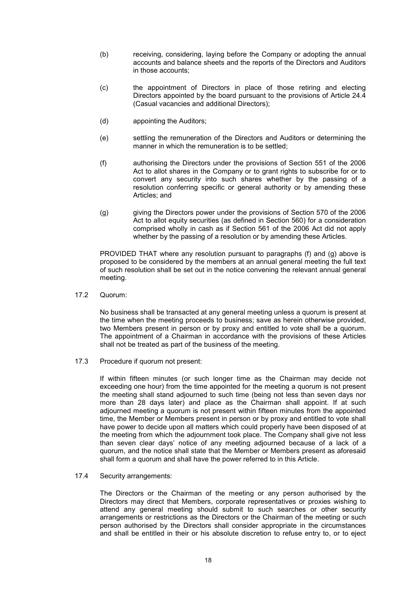- (b) receiving, considering, laying before the Company or adopting the annual accounts and balance sheets and the reports of the Directors and Auditors in those accounts;
- (c) the appointment of Directors in place of those retiring and electing Directors appointed by the board pursuant to the provisions of Article 24.4 (Casual vacancies and additional Directors);
- (d) appointing the Auditors;
- (e) settling the remuneration of the Directors and Auditors or determining the manner in which the remuneration is to be settled;
- (f) authorising the Directors under the provisions of Section 551 of the 2006 Act to allot shares in the Company or to grant rights to subscribe for or to convert any security into such shares whether by the passing of a resolution conferring specific or general authority or by amending these Articles; and
- (g) giving the Directors power under the provisions of Section 570 of the 2006 Act to allot equity securities (as defined in Section 560) for a consideration comprised wholly in cash as if Section 561 of the 2006 Act did not apply whether by the passing of a resolution or by amending these Articles.

PROVIDED THAT where any resolution pursuant to paragraphs (f) and (g) above is proposed to be considered by the members at an annual general meeting the full text of such resolution shall be set out in the notice convening the relevant annual general meeting.

17.2 Quorum:

No business shall be transacted at any general meeting unless a quorum is present at the time when the meeting proceeds to business; save as herein otherwise provided, two Members present in person or by proxy and entitled to vote shall be a quorum. The appointment of a Chairman in accordance with the provisions of these Articles shall not be treated as part of the business of the meeting.

17.3 Procedure if quorum not present:

If within fifteen minutes (or such longer time as the Chairman may decide not exceeding one hour) from the time appointed for the meeting a quorum is not present the meeting shall stand adjourned to such time (being not less than seven days nor more than 28 days later) and place as the Chairman shall appoint. If at such adjourned meeting a quorum is not present within fifteen minutes from the appointed time, the Member or Members present in person or by proxy and entitled to vote shall have power to decide upon all matters which could properly have been disposed of at the meeting from which the adjournment took place. The Company shall give not less than seven clear days' notice of any meeting adjourned because of a lack of a quorum, and the notice shall state that the Member or Members present as aforesaid shall form a quorum and shall have the power referred to in this Article.

17.4 Security arrangements:

The Directors or the Chairman of the meeting or any person authorised by the Directors may direct that Members, corporate representatives or proxies wishing to attend any general meeting should submit to such searches or other security arrangements or restrictions as the Directors or the Chairman of the meeting or such person authorised by the Directors shall consider appropriate in the circumstances and shall be entitled in their or his absolute discretion to refuse entry to, or to eject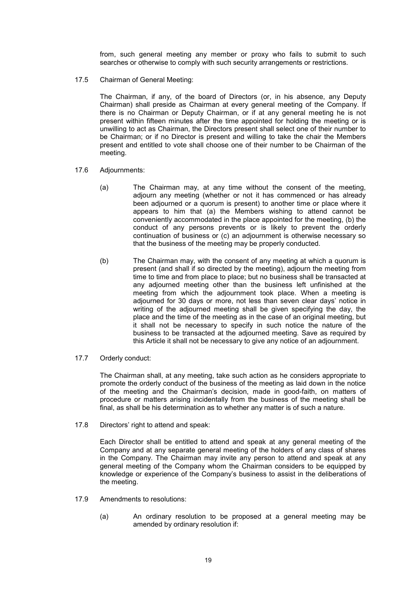from, such general meeting any member or proxy who fails to submit to such searches or otherwise to comply with such security arrangements or restrictions.

17.5 Chairman of General Meeting:

The Chairman, if any, of the board of Directors (or, in his absence, any Deputy Chairman) shall preside as Chairman at every general meeting of the Company. If there is no Chairman or Deputy Chairman, or if at any general meeting he is not present within fifteen minutes after the time appointed for holding the meeting or is unwilling to act as Chairman, the Directors present shall select one of their number to be Chairman; or if no Director is present and willing to take the chair the Members present and entitled to vote shall choose one of their number to be Chairman of the meeting.

- 17.6 Adjournments:
	- (a) The Chairman may, at any time without the consent of the meeting, adjourn any meeting (whether or not it has commenced or has already been adjourned or a quorum is present) to another time or place where it appears to him that (a) the Members wishing to attend cannot be conveniently accommodated in the place appointed for the meeting, (b) the conduct of any persons prevents or is likely to prevent the orderly continuation of business or (c) an adjournment is otherwise necessary so that the business of the meeting may be properly conducted.
	- (b) The Chairman may, with the consent of any meeting at which a quorum is present (and shall if so directed by the meeting), adjourn the meeting from time to time and from place to place; but no business shall be transacted at any adjourned meeting other than the business left unfinished at the meeting from which the adjournment took place. When a meeting is adjourned for 30 days or more, not less than seven clear days' notice in writing of the adjourned meeting shall be given specifying the day, the place and the time of the meeting as in the case of an original meeting, but it shall not be necessary to specify in such notice the nature of the business to be transacted at the adjourned meeting. Save as required by this Article it shall not be necessary to give any notice of an adjournment.
- 17.7 Orderly conduct:

The Chairman shall, at any meeting, take such action as he considers appropriate to promote the orderly conduct of the business of the meeting as laid down in the notice of the meeting and the Chairman's decision, made in good-faith, on matters of procedure or matters arising incidentally from the business of the meeting shall be final, as shall be his determination as to whether any matter is of such a nature.

17.8 Directors' right to attend and speak:

Each Director shall be entitled to attend and speak at any general meeting of the Company and at any separate general meeting of the holders of any class of shares in the Company. The Chairman may invite any person to attend and speak at any general meeting of the Company whom the Chairman considers to be equipped by knowledge or experience of the Company's business to assist in the deliberations of the meeting.

- 17.9 Amendments to resolutions:
	- (a) An ordinary resolution to be proposed at a general meeting may be amended by ordinary resolution if: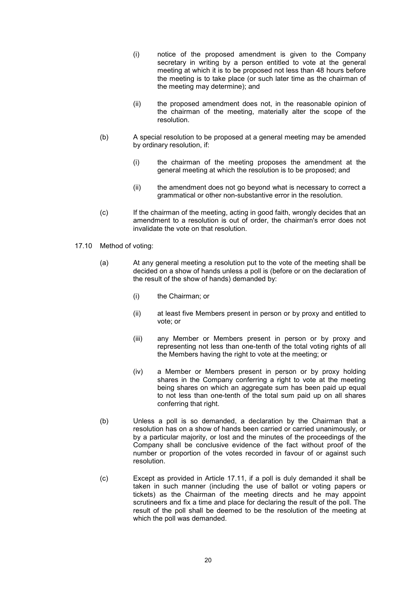- (i) notice of the proposed amendment is given to the Company secretary in writing by a person entitled to vote at the general meeting at which it is to be proposed not less than 48 hours before the meeting is to take place (or such later time as the chairman of the meeting may determine); and
- (ii) the proposed amendment does not, in the reasonable opinion of the chairman of the meeting, materially alter the scope of the resolution.
- (b) A special resolution to be proposed at a general meeting may be amended by ordinary resolution, if:
	- (i) the chairman of the meeting proposes the amendment at the general meeting at which the resolution is to be proposed; and
	- (ii) the amendment does not go beyond what is necessary to correct a grammatical or other non-substantive error in the resolution.
- (c) If the chairman of the meeting, acting in good faith, wrongly decides that an amendment to a resolution is out of order, the chairman's error does not invalidate the vote on that resolution.
- 17.10 Method of voting:
	- (a) At any general meeting a resolution put to the vote of the meeting shall be decided on a show of hands unless a poll is (before or on the declaration of the result of the show of hands) demanded by:
		- (i) the Chairman; or
		- (ii) at least five Members present in person or by proxy and entitled to vote; or
		- (iii) any Member or Members present in person or by proxy and representing not less than one-tenth of the total voting rights of all the Members having the right to vote at the meeting; or
		- (iv) a Member or Members present in person or by proxy holding shares in the Company conferring a right to vote at the meeting being shares on which an aggregate sum has been paid up equal to not less than one-tenth of the total sum paid up on all shares conferring that right.
	- (b) Unless a poll is so demanded, a declaration by the Chairman that a resolution has on a show of hands been carried or carried unanimously, or by a particular majority, or lost and the minutes of the proceedings of the Company shall be conclusive evidence of the fact without proof of the number or proportion of the votes recorded in favour of or against such resolution.
	- (c) Except as provided in Article 17.11, if a poll is duly demanded it shall be taken in such manner (including the use of ballot or voting papers or tickets) as the Chairman of the meeting directs and he may appoint scrutineers and fix a time and place for declaring the result of the poll. The result of the poll shall be deemed to be the resolution of the meeting at which the poll was demanded.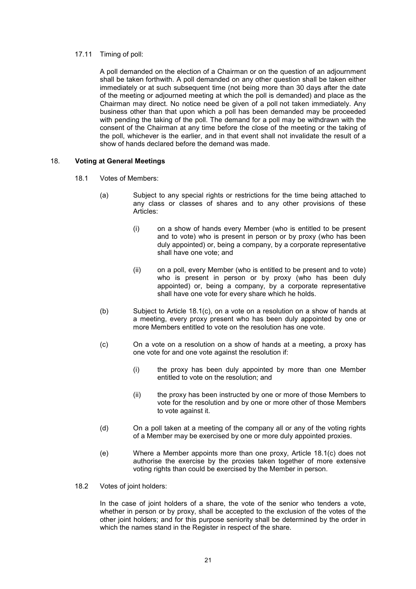## 17.11 Timing of poll:

A poll demanded on the election of a Chairman or on the question of an adjournment shall be taken forthwith. A poll demanded on any other question shall be taken either immediately or at such subsequent time (not being more than 30 days after the date of the meeting or adjourned meeting at which the poll is demanded) and place as the Chairman may direct. No notice need be given of a poll not taken immediately. Any business other than that upon which a poll has been demanded may be proceeded with pending the taking of the poll. The demand for a poll may be withdrawn with the consent of the Chairman at any time before the close of the meeting or the taking of the poll, whichever is the earlier, and in that event shall not invalidate the result of a show of hands declared before the demand was made.

# 18. Voting at General Meetings

- 18.1 Votes of Members:
	- (a) Subject to any special rights or restrictions for the time being attached to any class or classes of shares and to any other provisions of these Articles:
		- (i) on a show of hands every Member (who is entitled to be present and to vote) who is present in person or by proxy (who has been duly appointed) or, being a company, by a corporate representative shall have one vote; and
		- (ii) on a poll, every Member (who is entitled to be present and to vote) who is present in person or by proxy (who has been duly appointed) or, being a company, by a corporate representative shall have one vote for every share which he holds.
	- (b) Subject to Article 18.1(c), on a vote on a resolution on a show of hands at a meeting, every proxy present who has been duly appointed by one or more Members entitled to vote on the resolution has one vote.
	- (c) On a vote on a resolution on a show of hands at a meeting, a proxy has one vote for and one vote against the resolution if:
		- (i) the proxy has been duly appointed by more than one Member entitled to vote on the resolution; and
		- (ii) the proxy has been instructed by one or more of those Members to vote for the resolution and by one or more other of those Members to vote against it.
	- (d) On a poll taken at a meeting of the company all or any of the voting rights of a Member may be exercised by one or more duly appointed proxies.
	- (e) Where a Member appoints more than one proxy, Article 18.1(c) does not authorise the exercise by the proxies taken together of more extensive voting rights than could be exercised by the Member in person.
- 18.2 Votes of joint holders:

In the case of joint holders of a share, the vote of the senior who tenders a vote, whether in person or by proxy, shall be accepted to the exclusion of the votes of the other joint holders; and for this purpose seniority shall be determined by the order in which the names stand in the Register in respect of the share.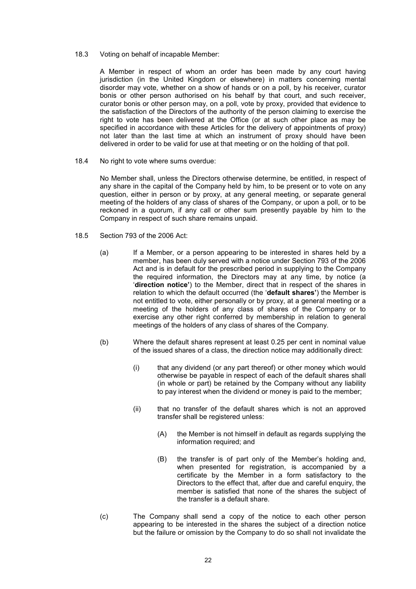18.3 Voting on behalf of incapable Member:

A Member in respect of whom an order has been made by any court having jurisdiction (in the United Kingdom or elsewhere) in matters concerning mental disorder may vote, whether on a show of hands or on a poll, by his receiver, curator bonis or other person authorised on his behalf by that court, and such receiver, curator bonis or other person may, on a poll, vote by proxy, provided that evidence to the satisfaction of the Directors of the authority of the person claiming to exercise the right to vote has been delivered at the Office (or at such other place as may be specified in accordance with these Articles for the delivery of appointments of proxy) not later than the last time at which an instrument of proxy should have been delivered in order to be valid for use at that meeting or on the holding of that poll.

18.4 No right to vote where sums overdue:

No Member shall, unless the Directors otherwise determine, be entitled, in respect of any share in the capital of the Company held by him, to be present or to vote on any question, either in person or by proxy, at any general meeting, or separate general meeting of the holders of any class of shares of the Company, or upon a poll, or to be reckoned in a quorum, if any call or other sum presently payable by him to the Company in respect of such share remains unpaid.

- 18.5 Section 793 of the 2006 Act:
	- (a) If a Member, or a person appearing to be interested in shares held by a member, has been duly served with a notice under Section 793 of the 2006 Act and is in default for the prescribed period in supplying to the Company the required information, the Directors may at any time, by notice (a 'direction notice') to the Member, direct that in respect of the shares in relation to which the default occurred (the 'default shares') the Member is not entitled to vote, either personally or by proxy, at a general meeting or a meeting of the holders of any class of shares of the Company or to exercise any other right conferred by membership in relation to general meetings of the holders of any class of shares of the Company.
	- (b) Where the default shares represent at least 0.25 per cent in nominal value of the issued shares of a class, the direction notice may additionally direct:
		- (i) that any dividend (or any part thereof) or other money which would otherwise be payable in respect of each of the default shares shall (in whole or part) be retained by the Company without any liability to pay interest when the dividend or money is paid to the member;
		- (ii) that no transfer of the default shares which is not an approved transfer shall be registered unless:
			- (A) the Member is not himself in default as regards supplying the information required; and
			- (B) the transfer is of part only of the Member's holding and, when presented for registration, is accompanied by a certificate by the Member in a form satisfactory to the Directors to the effect that, after due and careful enquiry, the member is satisfied that none of the shares the subject of the transfer is a default share.
	- (c) The Company shall send a copy of the notice to each other person appearing to be interested in the shares the subject of a direction notice but the failure or omission by the Company to do so shall not invalidate the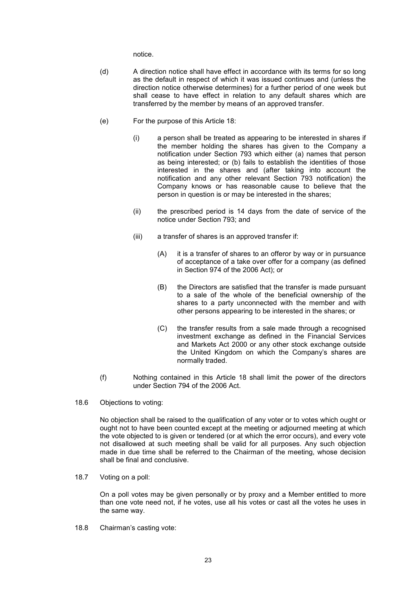notice.

- (d) A direction notice shall have effect in accordance with its terms for so long as the default in respect of which it was issued continues and (unless the direction notice otherwise determines) for a further period of one week but shall cease to have effect in relation to any default shares which are transferred by the member by means of an approved transfer.
- (e) For the purpose of this Article 18:
	- (i) a person shall be treated as appearing to be interested in shares if the member holding the shares has given to the Company a notification under Section 793 which either (a) names that person as being interested; or (b) fails to establish the identities of those interested in the shares and (after taking into account the notification and any other relevant Section 793 notification) the Company knows or has reasonable cause to believe that the person in question is or may be interested in the shares;
	- (ii) the prescribed period is 14 days from the date of service of the notice under Section 793; and
	- (iii) a transfer of shares is an approved transfer if:
		- (A) it is a transfer of shares to an offeror by way or in pursuance of acceptance of a take over offer for a company (as defined in Section 974 of the 2006 Act); or
		- (B) the Directors are satisfied that the transfer is made pursuant to a sale of the whole of the beneficial ownership of the shares to a party unconnected with the member and with other persons appearing to be interested in the shares; or
		- (C) the transfer results from a sale made through a recognised investment exchange as defined in the Financial Services and Markets Act 2000 or any other stock exchange outside the United Kingdom on which the Company's shares are normally traded.
- (f) Nothing contained in this Article 18 shall limit the power of the directors under Section 794 of the 2006 Act.
- 18.6 Objections to voting:

No objection shall be raised to the qualification of any voter or to votes which ought or ought not to have been counted except at the meeting or adjourned meeting at which the vote objected to is given or tendered (or at which the error occurs), and every vote not disallowed at such meeting shall be valid for all purposes. Any such objection made in due time shall be referred to the Chairman of the meeting, whose decision shall be final and conclusive.

18.7 Voting on a poll:

On a poll votes may be given personally or by proxy and a Member entitled to more than one vote need not, if he votes, use all his votes or cast all the votes he uses in the same way.

18.8 Chairman's casting vote: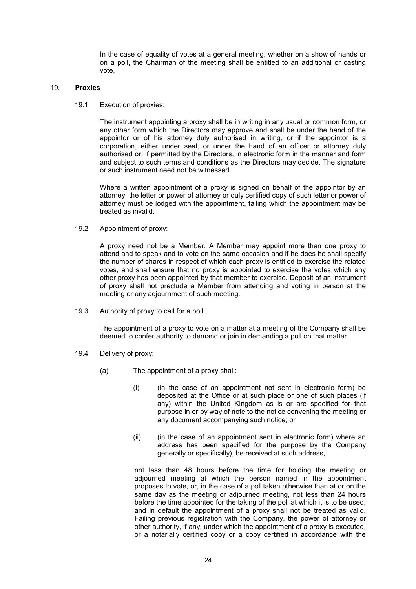In the case of equality of votes at a general meeting, whether on a show of hands or on a poll, the Chairman of the meeting shall be entitled to an additional or casting vote.

# 19. Proxies

19.1 Execution of proxies:

The instrument appointing a proxy shall be in writing in any usual or common form, or any other form which the Directors may approve and shall be under the hand of the appointor or of his attorney duly authorised in writing, or if the appointor is a corporation, either under seal, or under the hand of an officer or attorney duly authorised or, if permitted by the Directors, in electronic form in the manner and form and subject to such terms and conditions as the Directors may decide. The signature or such instrument need not be witnessed.

Where a written appointment of a proxy is signed on behalf of the appointor by an attorney, the letter or power of attorney or duly certified copy of such letter or power of attorney must be lodged with the appointment, failing which the appointment may be treated as invalid.

19.2 Appointment of proxy:

A proxy need not be a Member. A Member may appoint more than one proxy to attend and to speak and to vote on the same occasion and if he does he shall specify the number of shares in respect of which each proxy is entitled to exercise the related votes, and shall ensure that no proxy is appointed to exercise the votes which any other proxy has been appointed by that member to exercise. Deposit of an instrument of proxy shall not preclude a Member from attending and voting in person at the meeting or any adjournment of such meeting.

19.3 Authority of proxy to call for a poll:

The appointment of a proxy to vote on a matter at a meeting of the Company shall be deemed to confer authority to demand or join in demanding a poll on that matter.

- 19.4 Delivery of proxy:
	- (a) The appointment of a proxy shall:
		- $(i)$  (in the case of an appointment not sent in electronic form) be deposited at the Office or at such place or one of such places (if any) within the United Kingdom as is or are specified for that purpose in or by way of note to the notice convening the meeting or any document accompanying such notice; or
		- (ii) (in the case of an appointment sent in electronic form) where an address has been specified for the purpose by the Company generally or specifically), be received at such address,

not less than 48 hours before the time for holding the meeting or adjourned meeting at which the person named in the appointment proposes to vote, or, in the case of a poll taken otherwise than at or on the same day as the meeting or adjourned meeting, not less than 24 hours before the time appointed for the taking of the poll at which it is to be used, and in default the appointment of a proxy shall not be treated as valid. Failing previous registration with the Company, the power of attorney or other authority, if any, under which the appointment of a proxy is executed, or a notarially certified copy or a copy certified in accordance with the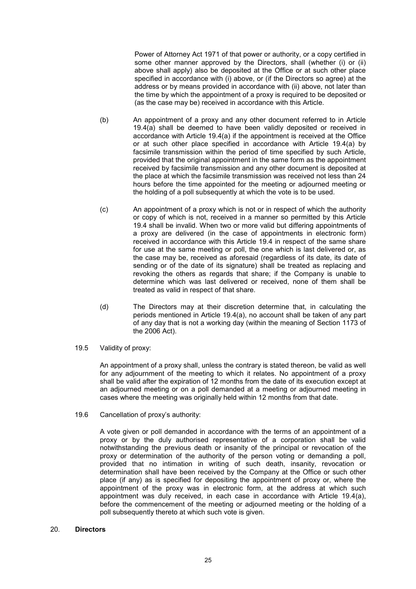Power of Attorney Act 1971 of that power or authority, or a copy certified in some other manner approved by the Directors, shall (whether (i) or (ii) above shall apply) also be deposited at the Office or at such other place specified in accordance with (i) above, or (if the Directors so agree) at the address or by means provided in accordance with (ii) above, not later than the time by which the appointment of a proxy is required to be deposited or (as the case may be) received in accordance with this Article.

- (b) An appointment of a proxy and any other document referred to in Article 19.4(a) shall be deemed to have been validly deposited or received in accordance with Article 19.4(a) if the appointment is received at the Office or at such other place specified in accordance with Article 19.4(a) by facsimile transmission within the period of time specified by such Article, provided that the original appointment in the same form as the appointment received by facsimile transmission and any other document is deposited at the place at which the facsimile transmission was received not less than 24 hours before the time appointed for the meeting or adjourned meeting or the holding of a poll subsequently at which the vote is to be used.
- (c) An appointment of a proxy which is not or in respect of which the authority or copy of which is not, received in a manner so permitted by this Article 19.4 shall be invalid. When two or more valid but differing appointments of a proxy are delivered (in the case of appointments in electronic form) received in accordance with this Article 19.4 in respect of the same share for use at the same meeting or poll, the one which is last delivered or, as the case may be, received as aforesaid (regardless of its date, its date of sending or of the date of its signature) shall be treated as replacing and revoking the others as regards that share; if the Company is unable to determine which was last delivered or received, none of them shall be treated as valid in respect of that share.
- (d) The Directors may at their discretion determine that, in calculating the periods mentioned in Article 19.4(a), no account shall be taken of any part of any day that is not a working day (within the meaning of Section 1173 of the 2006 Act).
- 19.5 Validity of proxy:

An appointment of a proxy shall, unless the contrary is stated thereon, be valid as well for any adjournment of the meeting to which it relates. No appointment of a proxy shall be valid after the expiration of 12 months from the date of its execution except at an adjourned meeting or on a poll demanded at a meeting or adjourned meeting in cases where the meeting was originally held within 12 months from that date.

19.6 Cancellation of proxy's authority:

A vote given or poll demanded in accordance with the terms of an appointment of a proxy or by the duly authorised representative of a corporation shall be valid notwithstanding the previous death or insanity of the principal or revocation of the proxy or determination of the authority of the person voting or demanding a poll, provided that no intimation in writing of such death, insanity, revocation or determination shall have been received by the Company at the Office or such other place (if any) as is specified for depositing the appointment of proxy or, where the appointment of the proxy was in electronic form, at the address at which such appointment was duly received, in each case in accordance with Article 19.4(a), before the commencement of the meeting or adjourned meeting or the holding of a poll subsequently thereto at which such vote is given.

#### 20. Directors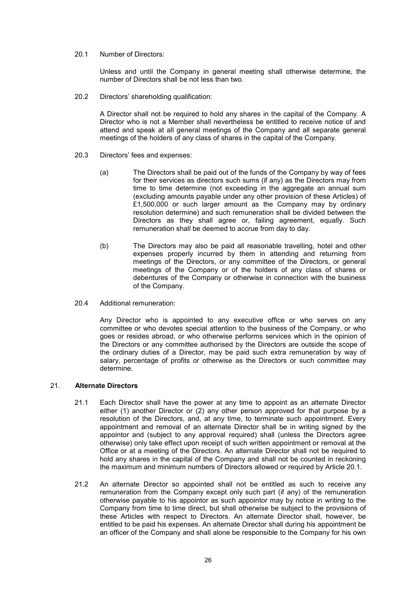20.1 Number of Directors:

Unless and until the Company in general meeting shall otherwise determine, the number of Directors shall be not less than two.

20.2 Directors' shareholding qualification:

A Director shall not be required to hold any shares in the capital of the Company. A Director who is not a Member shall nevertheless be entitled to receive notice of and attend and speak at all general meetings of the Company and all separate general meetings of the holders of any class of shares in the capital of the Company.

- 20.3 Directors' fees and expenses:
	- (a) The Directors shall be paid out of the funds of the Company by way of fees for their services as directors such sums (if any) as the Directors may from time to time determine (not exceeding in the aggregate an annual sum (excluding amounts payable under any other provision of these Articles) of £1,500,000 or such larger amount as the Company may by ordinary resolution determine) and such remuneration shall be divided between the Directors as they shall agree or, failing agreement, equally. Such remuneration shall be deemed to accrue from day to day.
	- (b) The Directors may also be paid all reasonable travelling, hotel and other expenses properly incurred by them in attending and returning from meetings of the Directors, or any committee of the Directors, or general meetings of the Company or of the holders of any class of shares or debentures of the Company or otherwise in connection with the business of the Company.
- 20.4 Additional remuneration:

Any Director who is appointed to any executive office or who serves on any committee or who devotes special attention to the business of the Company, or who goes or resides abroad, or who otherwise performs services which in the opinion of the Directors or any committee authorised by the Directors are outside the scope of the ordinary duties of a Director, may be paid such extra remuneration by way of salary, percentage of profits or otherwise as the Directors or such committee may determine.

## 21. Alternate Directors

- 21.1 Each Director shall have the power at any time to appoint as an alternate Director either (1) another Director or (2) any other person approved for that purpose by a resolution of the Directors, and, at any time, to terminate such appointment. Every appointment and removal of an alternate Director shall be in writing signed by the appointor and (subject to any approval required) shall (unless the Directors agree otherwise) only take effect upon receipt of such written appointment or removal at the Office or at a meeting of the Directors. An alternate Director shall not be required to hold any shares in the capital of the Company and shall not be counted in reckoning the maximum and minimum numbers of Directors allowed or required by Article 20.1.
- 21.2 An alternate Director so appointed shall not be entitled as such to receive any remuneration from the Company except only such part (if any) of the remuneration otherwise payable to his appointor as such appointor may by notice in writing to the Company from time to time direct, but shall otherwise be subject to the provisions of these Articles with respect to Directors. An alternate Director shall, however, be entitled to be paid his expenses. An alternate Director shall during his appointment be an officer of the Company and shall alone be responsible to the Company for his own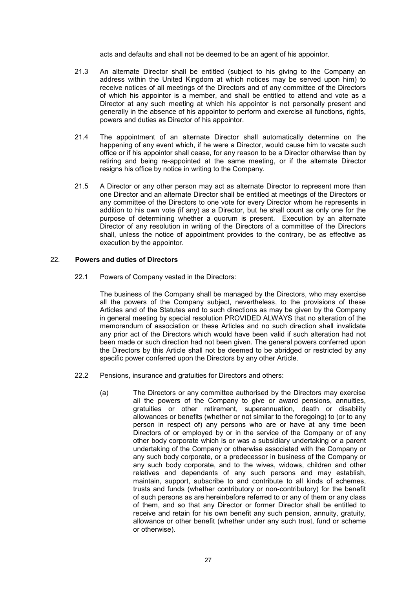acts and defaults and shall not be deemed to be an agent of his appointor.

- 21.3 An alternate Director shall be entitled (subject to his giving to the Company an address within the United Kingdom at which notices may be served upon him) to receive notices of all meetings of the Directors and of any committee of the Directors of which his appointor is a member, and shall be entitled to attend and vote as a Director at any such meeting at which his appointor is not personally present and generally in the absence of his appointor to perform and exercise all functions, rights, powers and duties as Director of his appointor.
- 21.4 The appointment of an alternate Director shall automatically determine on the happening of any event which, if he were a Director, would cause him to vacate such office or if his appointor shall cease, for any reason to be a Director otherwise than by retiring and being re-appointed at the same meeting, or if the alternate Director resigns his office by notice in writing to the Company.
- 21.5 A Director or any other person may act as alternate Director to represent more than one Director and an alternate Director shall be entitled at meetings of the Directors or any committee of the Directors to one vote for every Director whom he represents in addition to his own vote (if any) as a Director, but he shall count as only one for the purpose of determining whether a quorum is present. Execution by an alternate Director of any resolution in writing of the Directors of a committee of the Directors shall, unless the notice of appointment provides to the contrary, be as effective as execution by the appointor.

# 22. Powers and duties of Directors

22.1 Powers of Company vested in the Directors:

The business of the Company shall be managed by the Directors, who may exercise all the powers of the Company subject, nevertheless, to the provisions of these Articles and of the Statutes and to such directions as may be given by the Company in general meeting by special resolution PROVIDED ALWAYS that no alteration of the memorandum of association or these Articles and no such direction shall invalidate any prior act of the Directors which would have been valid if such alteration had not been made or such direction had not been given. The general powers conferred upon the Directors by this Article shall not be deemed to be abridged or restricted by any specific power conferred upon the Directors by any other Article.

- 22.2 Pensions, insurance and gratuities for Directors and others:
	- (a) The Directors or any committee authorised by the Directors may exercise all the powers of the Company to give or award pensions, annuities, gratuities or other retirement, superannuation, death or disability allowances or benefits (whether or not similar to the foregoing) to (or to any person in respect of) any persons who are or have at any time been Directors of or employed by or in the service of the Company or of any other body corporate which is or was a subsidiary undertaking or a parent undertaking of the Company or otherwise associated with the Company or any such body corporate, or a predecessor in business of the Company or any such body corporate, and to the wives, widows, children and other relatives and dependants of any such persons and may establish, maintain, support, subscribe to and contribute to all kinds of schemes, trusts and funds (whether contributory or non-contributory) for the benefit of such persons as are hereinbefore referred to or any of them or any class of them, and so that any Director or former Director shall be entitled to receive and retain for his own benefit any such pension, annuity, gratuity, allowance or other benefit (whether under any such trust, fund or scheme or otherwise).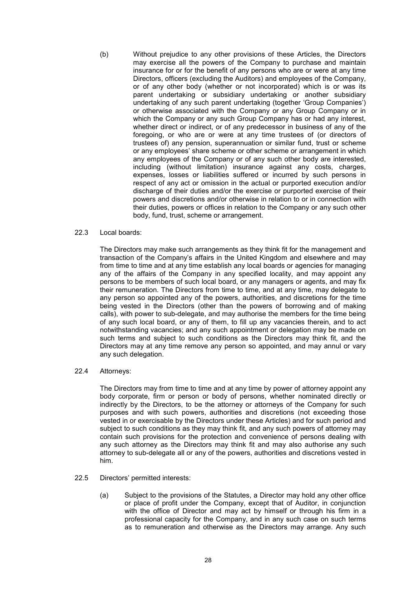(b) Without prejudice to any other provisions of these Articles, the Directors may exercise all the powers of the Company to purchase and maintain insurance for or for the benefit of any persons who are or were at any time Directors, officers (excluding the Auditors) and employees of the Company, or of any other body (whether or not incorporated) which is or was its parent undertaking or subsidiary undertaking or another subsidiary undertaking of any such parent undertaking (together 'Group Companies') or otherwise associated with the Company or any Group Company or in which the Company or any such Group Company has or had any interest, whether direct or indirect, or of any predecessor in business of any of the foregoing, or who are or were at any time trustees of (or directors of trustees of) any pension, superannuation or similar fund, trust or scheme or any employees' share scheme or other scheme or arrangement in which any employees of the Company or of any such other body are interested, including (without limitation) insurance against any costs, charges, expenses, losses or liabilities suffered or incurred by such persons in respect of any act or omission in the actual or purported execution and/or discharge of their duties and/or the exercise or purported exercise of their powers and discretions and/or otherwise in relation to or in connection with their duties, powers or offices in relation to the Company or any such other body, fund, trust, scheme or arrangement.

#### 22.3 Local boards:

The Directors may make such arrangements as they think fit for the management and transaction of the Company's affairs in the United Kingdom and elsewhere and may from time to time and at any time establish any local boards or agencies for managing any of the affairs of the Company in any specified locality, and may appoint any persons to be members of such local board, or any managers or agents, and may fix their remuneration. The Directors from time to time, and at any time, may delegate to any person so appointed any of the powers, authorities, and discretions for the time being vested in the Directors (other than the powers of borrowing and of making calls), with power to sub-delegate, and may authorise the members for the time being of any such local board, or any of them, to fill up any vacancies therein, and to act notwithstanding vacancies; and any such appointment or delegation may be made on such terms and subject to such conditions as the Directors may think fit, and the Directors may at any time remove any person so appointed, and may annul or vary any such delegation.

22.4 Attorneys:

The Directors may from time to time and at any time by power of attorney appoint any body corporate, firm or person or body of persons, whether nominated directly or indirectly by the Directors, to be the attorney or attorneys of the Company for such purposes and with such powers, authorities and discretions (not exceeding those vested in or exercisable by the Directors under these Articles) and for such period and subject to such conditions as they may think fit, and any such powers of attorney may contain such provisions for the protection and convenience of persons dealing with any such attorney as the Directors may think fit and may also authorise any such attorney to sub-delegate all or any of the powers, authorities and discretions vested in him.

- 22.5 Directors' permitted interests:
	- (a) Subject to the provisions of the Statutes, a Director may hold any other office or place of profit under the Company, except that of Auditor, in conjunction with the office of Director and may act by himself or through his firm in a professional capacity for the Company, and in any such case on such terms as to remuneration and otherwise as the Directors may arrange. Any such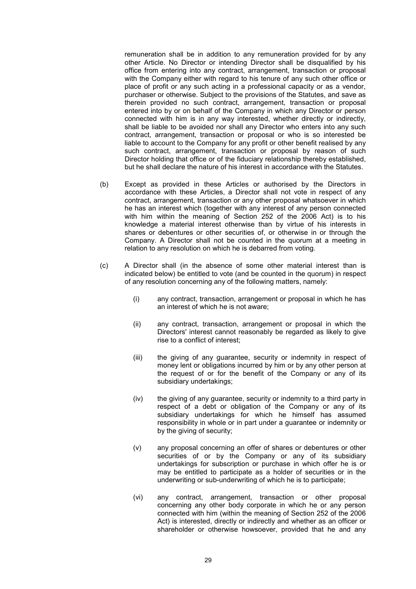remuneration shall be in addition to any remuneration provided for by any other Article. No Director or intending Director shall be disqualified by his office from entering into any contract, arrangement, transaction or proposal with the Company either with regard to his tenure of any such other office or place of profit or any such acting in a professional capacity or as a vendor, purchaser or otherwise. Subject to the provisions of the Statutes, and save as therein provided no such contract, arrangement, transaction or proposal entered into by or on behalf of the Company in which any Director or person connected with him is in any way interested, whether directly or indirectly, shall be liable to be avoided nor shall any Director who enters into any such contract, arrangement, transaction or proposal or who is so interested be liable to account to the Company for any profit or other benefit realised by any such contract, arrangement, transaction or proposal by reason of such Director holding that office or of the fiduciary relationship thereby established, but he shall declare the nature of his interest in accordance with the Statutes.

- (b) Except as provided in these Articles or authorised by the Directors in accordance with these Articles, a Director shall not vote in respect of any contract, arrangement, transaction or any other proposal whatsoever in which he has an interest which (together with any interest of any person connected with him within the meaning of Section 252 of the 2006 Act) is to his knowledge a material interest otherwise than by virtue of his interests in shares or debentures or other securities of, or otherwise in or through the Company. A Director shall not be counted in the quorum at a meeting in relation to any resolution on which he is debarred from voting.
- (c) A Director shall (in the absence of some other material interest than is indicated below) be entitled to vote (and be counted in the quorum) in respect of any resolution concerning any of the following matters, namely:
	- (i) any contract, transaction, arrangement or proposal in which he has an interest of which he is not aware;
	- (ii) any contract, transaction, arrangement or proposal in which the Directors' interest cannot reasonably be regarded as likely to give rise to a conflict of interest;
	- (iii) the giving of any guarantee, security or indemnity in respect of money lent or obligations incurred by him or by any other person at the request of or for the benefit of the Company or any of its subsidiary undertakings;
	- (iv) the giving of any guarantee, security or indemnity to a third party in respect of a debt or obligation of the Company or any of its subsidiary undertakings for which he himself has assumed responsibility in whole or in part under a guarantee or indemnity or by the giving of security;
	- (v) any proposal concerning an offer of shares or debentures or other securities of or by the Company or any of its subsidiary undertakings for subscription or purchase in which offer he is or may be entitled to participate as a holder of securities or in the underwriting or sub-underwriting of which he is to participate;
	- (vi) any contract, arrangement, transaction or other proposal concerning any other body corporate in which he or any person connected with him (within the meaning of Section 252 of the 2006 Act) is interested, directly or indirectly and whether as an officer or shareholder or otherwise howsoever, provided that he and any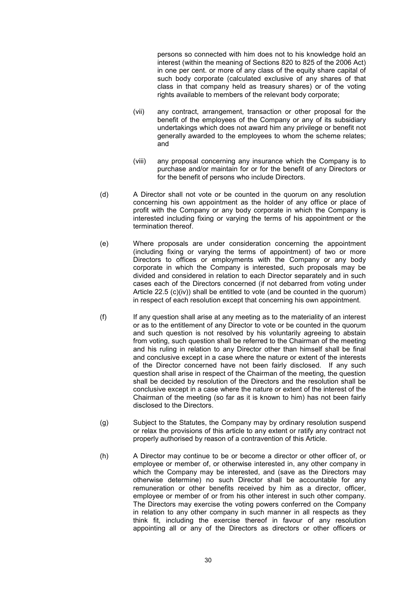persons so connected with him does not to his knowledge hold an interest (within the meaning of Sections 820 to 825 of the 2006 Act) in one per cent. or more of any class of the equity share capital of such body corporate (calculated exclusive of any shares of that class in that company held as treasury shares) or of the voting rights available to members of the relevant body corporate;

- (vii) any contract, arrangement, transaction or other proposal for the benefit of the employees of the Company or any of its subsidiary undertakings which does not award him any privilege or benefit not generally awarded to the employees to whom the scheme relates; and
- (viii) any proposal concerning any insurance which the Company is to purchase and/or maintain for or for the benefit of any Directors or for the benefit of persons who include Directors.
- (d) A Director shall not vote or be counted in the quorum on any resolution concerning his own appointment as the holder of any office or place of profit with the Company or any body corporate in which the Company is interested including fixing or varying the terms of his appointment or the termination thereof.
- (e) Where proposals are under consideration concerning the appointment (including fixing or varying the terms of appointment) of two or more Directors to offices or employments with the Company or any body corporate in which the Company is interested, such proposals may be divided and considered in relation to each Director separately and in such cases each of the Directors concerned (if not debarred from voting under Article  $22.5$  (c)(iv)) shall be entitled to vote (and be counted in the quorum) in respect of each resolution except that concerning his own appointment.
- (f) If any question shall arise at any meeting as to the materiality of an interest or as to the entitlement of any Director to vote or be counted in the quorum and such question is not resolved by his voluntarily agreeing to abstain from voting, such question shall be referred to the Chairman of the meeting and his ruling in relation to any Director other than himself shall be final and conclusive except in a case where the nature or extent of the interests of the Director concerned have not been fairly disclosed. If any such question shall arise in respect of the Chairman of the meeting, the question shall be decided by resolution of the Directors and the resolution shall be conclusive except in a case where the nature or extent of the interest of the Chairman of the meeting (so far as it is known to him) has not been fairly disclosed to the Directors.
- (g) Subject to the Statutes, the Company may by ordinary resolution suspend or relax the provisions of this article to any extent or ratify any contract not properly authorised by reason of a contravention of this Article.
- (h) A Director may continue to be or become a director or other officer of, or employee or member of, or otherwise interested in, any other company in which the Company may be interested, and (save as the Directors may otherwise determine) no such Director shall be accountable for any remuneration or other benefits received by him as a director, officer, employee or member of or from his other interest in such other company. The Directors may exercise the voting powers conferred on the Company in relation to any other company in such manner in all respects as they think fit, including the exercise thereof in favour of any resolution appointing all or any of the Directors as directors or other officers or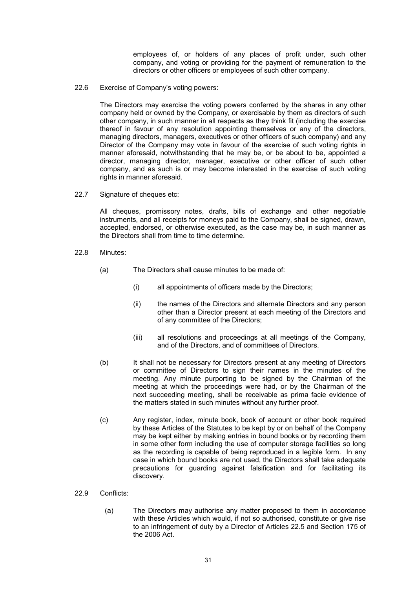employees of, or holders of any places of profit under, such other company, and voting or providing for the payment of remuneration to the directors or other officers or employees of such other company.

22.6 Exercise of Company's voting powers:

The Directors may exercise the voting powers conferred by the shares in any other company held or owned by the Company, or exercisable by them as directors of such other company, in such manner in all respects as they think fit (including the exercise thereof in favour of any resolution appointing themselves or any of the directors, managing directors, managers, executives or other officers of such company) and any Director of the Company may vote in favour of the exercise of such voting rights in manner aforesaid, notwithstanding that he may be, or be about to be, appointed a director, managing director, manager, executive or other officer of such other company, and as such is or may become interested in the exercise of such voting rights in manner aforesaid.

22.7 Signature of cheques etc:

All cheques, promissory notes, drafts, bills of exchange and other negotiable instruments, and all receipts for moneys paid to the Company, shall be signed, drawn, accepted, endorsed, or otherwise executed, as the case may be, in such manner as the Directors shall from time to time determine.

- 22.8 Minutes:
	- (a) The Directors shall cause minutes to be made of:
		- (i) all appointments of officers made by the Directors;
		- (ii) the names of the Directors and alternate Directors and any person other than a Director present at each meeting of the Directors and of any committee of the Directors;
		- (iii) all resolutions and proceedings at all meetings of the Company, and of the Directors, and of committees of Directors.
	- (b) It shall not be necessary for Directors present at any meeting of Directors or committee of Directors to sign their names in the minutes of the meeting. Any minute purporting to be signed by the Chairman of the meeting at which the proceedings were had, or by the Chairman of the next succeeding meeting, shall be receivable as prima facie evidence of the matters stated in such minutes without any further proof.
	- (c) Any register, index, minute book, book of account or other book required by these Articles of the Statutes to be kept by or on behalf of the Company may be kept either by making entries in bound books or by recording them in some other form including the use of computer storage facilities so long as the recording is capable of being reproduced in a legible form. In any case in which bound books are not used, the Directors shall take adequate precautions for guarding against falsification and for facilitating its discovery.
- 22.9 Conflicts:
	- (a) The Directors may authorise any matter proposed to them in accordance with these Articles which would, if not so authorised, constitute or give rise to an infringement of duty by a Director of Articles 22.5 and Section 175 of the 2006 Act.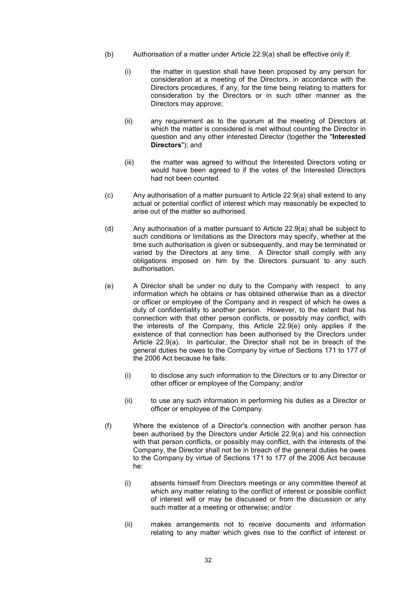- (b) Authorisation of a matter under Article 22.9(a) shall be effective only if:
	- (i) the matter in question shall have been proposed by any person for consideration at a meeting of the Directors, in accordance with the Directors procedures, if any, for the time being relating to matters for consideration by the Directors or in such other manner as the Directors may approve;
	- (ii) any requirement as to the quorum at the meeting of Directors at which the matter is considered is met without counting the Director in question and any other interested Director (together the "Interested Directors"); and
	- (iii) the matter was agreed to without the Interested Directors voting or would have been agreed to if the votes of the Interested Directors had not been counted.
- (c) Any authorisation of a matter pursuant to Article 22.9(a) shall extend to any actual or potential conflict of interest which may reasonably be expected to arise out of the matter so authorised.
- (d) Any authorisation of a matter pursuant to Article 22.9(a) shall be subject to such conditions or limitations as the Directors may specify, whether at the time such authorisation is given or subsequently, and may be terminated or varied by the Directors at any time. A Director shall comply with any obligations imposed on him by the Directors pursuant to any such authorisation.
- (e) A Director shall be under no duty to the Company with respect to any information which he obtains or has obtained otherwise than as a director or officer or employee of the Company and in respect of which he owes a duty of confidentiality to another person. However, to the extent that his connection with that other person conflicts, or possibly may conflict, with the interests of the Company, this Article 22.9(e) only applies if the existence of that connection has been authorised by the Directors under Article 22.9(a). In particular, the Director shall not be in breach of the general duties he owes to the Company by virtue of Sections 171 to 177 of the 2006 Act because he fails:
	- (i) to disclose any such information to the Directors or to any Director or other officer or employee of the Company; and/or
	- (ii) to use any such information in performing his duties as a Director or officer or employee of the Company.
- (f) Where the existence of a Director's connection with another person has been authorised by the Directors under Article 22.9(a) and his connection with that person conflicts, or possibly may conflict, with the interests of the Company, the Director shall not be in breach of the general duties he owes to the Company by virtue of Sections 171 to 177 of the 2006 Act because he:
	- (i) absents himself from Directors meetings or any committee thereof at which any matter relating to the conflict of interest or possible conflict of interest will or may be discussed or from the discussion or any such matter at a meeting or otherwise; and/or
	- (ii) makes arrangements not to receive documents and information relating to any matter which gives rise to the conflict of interest or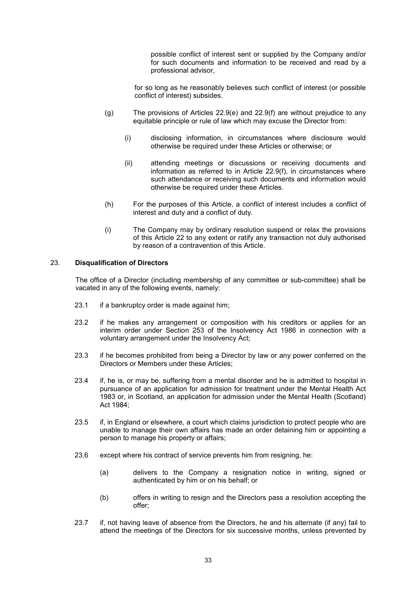possible conflict of interest sent or supplied by the Company and/or for such documents and information to be received and read by a professional advisor,

for so long as he reasonably believes such conflict of interest (or possible conflict of interest) subsides.

- (g) The provisions of Articles 22.9(e) and 22.9(f) are without prejudice to any equitable principle or rule of law which may excuse the Director from:
	- (i) disclosing information, in circumstances where disclosure would otherwise be required under these Articles or otherwise; or
	- (ii) attending meetings or discussions or receiving documents and information as referred to in Article 22.9(f), in circumstances where such attendance or receiving such documents and information would otherwise be required under these Articles.
- (h) For the purposes of this Article, a conflict of interest includes a conflict of interest and duty and a conflict of duty.
- (i) The Company may by ordinary resolution suspend or relax the provisions of this Article 22 to any extent or ratify any transaction not duly authorised by reason of a contravention of this Article.

# 23. Disqualification of Directors

The office of a Director (including membership of any committee or sub-committee) shall be vacated in any of the following events, namely:

- 23.1 if a bankruptcy order is made against him;
- 23.2 if he makes any arrangement or composition with his creditors or applies for an interim order under Section 253 of the Insolvency Act 1986 in connection with a voluntary arrangement under the Insolvency Act;
- 23.3 if he becomes prohibited from being a Director by law or any power conferred on the Directors or Members under these Articles;
- 23.4 if, he is, or may be, suffering from a mental disorder and he is admitted to hospital in pursuance of an application for admission for treatment under the Mental Health Act 1983 or, in Scotland, an application for admission under the Mental Health (Scotland) Act 1984;
- 23.5 if, in England or elsewhere, a court which claims jurisdiction to protect people who are unable to manage their own affairs has made an order detaining him or appointing a person to manage his property or affairs;
- 23.6 except where his contract of service prevents him from resigning, he:
	- (a) delivers to the Company a resignation notice in writing, signed or authenticated by him or on his behalf; or
	- (b) offers in writing to resign and the Directors pass a resolution accepting the offer;
- 23.7 if, not having leave of absence from the Directors, he and his alternate (if any) fail to attend the meetings of the Directors for six successive months, unless prevented by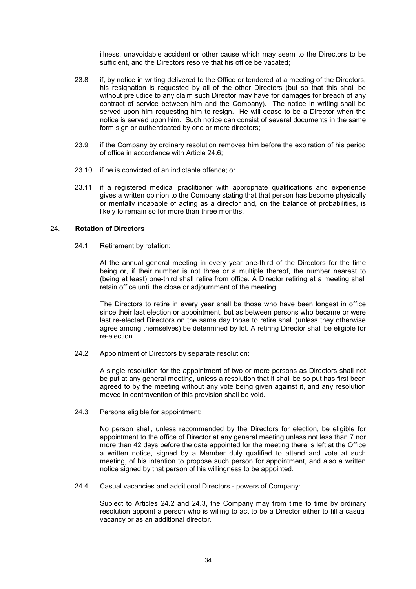illness, unavoidable accident or other cause which may seem to the Directors to be sufficient, and the Directors resolve that his office be vacated;

- 23.8 if, by notice in writing delivered to the Office or tendered at a meeting of the Directors, his resignation is requested by all of the other Directors (but so that this shall be without prejudice to any claim such Director may have for damages for breach of any contract of service between him and the Company). The notice in writing shall be served upon him requesting him to resign. He will cease to be a Director when the notice is served upon him. Such notice can consist of several documents in the same form sign or authenticated by one or more directors:
- 23.9 if the Company by ordinary resolution removes him before the expiration of his period of office in accordance with Article 24.6;
- 23.10 if he is convicted of an indictable offence; or
- 23.11 if a registered medical practitioner with appropriate qualifications and experience gives a written opinion to the Company stating that that person has become physically or mentally incapable of acting as a director and, on the balance of probabilities, is likely to remain so for more than three months.

# 24. Rotation of Directors

24.1 Retirement by rotation:

At the annual general meeting in every year one-third of the Directors for the time being or, if their number is not three or a multiple thereof, the number nearest to (being at least) one-third shall retire from office. A Director retiring at a meeting shall retain office until the close or adjournment of the meeting.

The Directors to retire in every year shall be those who have been longest in office since their last election or appointment, but as between persons who became or were last re-elected Directors on the same day those to retire shall (unless they otherwise agree among themselves) be determined by lot. A retiring Director shall be eligible for re-election.

24.2 Appointment of Directors by separate resolution:

A single resolution for the appointment of two or more persons as Directors shall not be put at any general meeting, unless a resolution that it shall be so put has first been agreed to by the meeting without any vote being given against it, and any resolution moved in contravention of this provision shall be void.

24.3 Persons eligible for appointment:

No person shall, unless recommended by the Directors for election, be eligible for appointment to the office of Director at any general meeting unless not less than 7 nor more than 42 days before the date appointed for the meeting there is left at the Office a written notice, signed by a Member duly qualified to attend and vote at such meeting, of his intention to propose such person for appointment, and also a written notice signed by that person of his willingness to be appointed.

24.4 Casual vacancies and additional Directors - powers of Company:

Subject to Articles 24.2 and 24.3, the Company may from time to time by ordinary resolution appoint a person who is willing to act to be a Director either to fill a casual vacancy or as an additional director.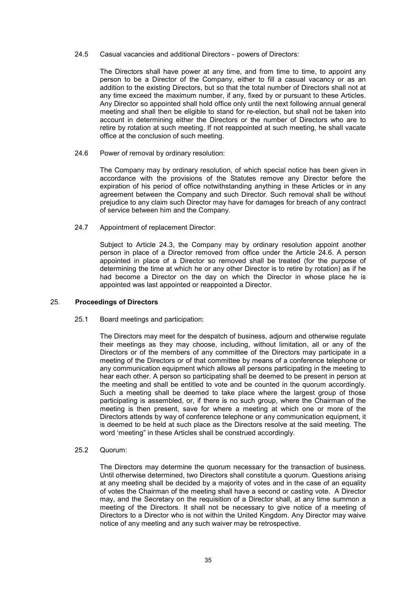#### 24.5 Casual vacancies and additional Directors - powers of Directors:

The Directors shall have power at any time, and from time to time, to appoint any person to be a Director of the Company, either to fill a casual vacancy or as an addition to the existing Directors, but so that the total number of Directors shall not at any time exceed the maximum number, if any, fixed by or pursuant to these Articles. Any Director so appointed shall hold office only until the next following annual general meeting and shall then be eligible to stand for re-election, but shall not be taken into account in determining either the Directors or the number of Directors who are to retire by rotation at such meeting. If not reappointed at such meeting, he shall vacate office at the conclusion of such meeting.

#### 24.6 Power of removal by ordinary resolution:

The Company may by ordinary resolution, of which special notice has been given in accordance with the provisions of the Statutes remove any Director before the expiration of his period of office notwithstanding anything in these Articles or in any agreement between the Company and such Director. Such removal shall be without prejudice to any claim such Director may have for damages for breach of any contract of service between him and the Company.

# 24.7 Appointment of replacement Director:

Subject to Article 24.3, the Company may by ordinary resolution appoint another person in place of a Director removed from office under the Article 24.6. A person appointed in place of a Director so removed shall be treated (for the purpose of determining the time at which he or any other Director is to retire by rotation) as if he had become a Director on the day on which the Director in whose place he is appointed was last appointed or reappointed a Director.

# 25. Proceedings of Directors

25.1 Board meetings and participation:

The Directors may meet for the despatch of business, adjourn and otherwise regulate their meetings as they may choose, including, without limitation, all or any of the Directors or of the members of any committee of the Directors may participate in a meeting of the Directors or of that committee by means of a conference telephone or any communication equipment which allows all persons participating in the meeting to hear each other. A person so participating shall be deemed to be present in person at the meeting and shall be entitled to vote and be counted in the quorum accordingly. Such a meeting shall be deemed to take place where the largest group of those participating is assembled, or, if there is no such group, where the Chairman of the meeting is then present, save for where a meeting at which one or more of the Directors attends by way of conference telephone or any communication equipment, it is deemed to be held at such place as the Directors resolve at the said meeting. The word 'meeting" in these Articles shall be construed accordingly.

#### 25.2 Quorum:

The Directors may determine the quorum necessary for the transaction of business. Until otherwise determined, two Directors shall constitute a quorum. Questions arising at any meeting shall be decided by a majority of votes and in the case of an equality of votes the Chairman of the meeting shall have a second or casting vote. A Director may, and the Secretary on the requisition of a Director shall, at any time summon a meeting of the Directors. It shall not be necessary to give notice of a meeting of Directors to a Director who is not within the United Kingdom. Any Director may waive notice of any meeting and any such waiver may be retrospective.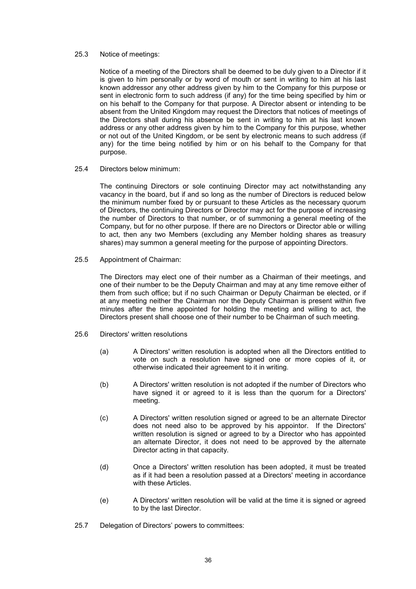#### 25.3 Notice of meetings:

Notice of a meeting of the Directors shall be deemed to be duly given to a Director if it is given to him personally or by word of mouth or sent in writing to him at his last known addressor any other address given by him to the Company for this purpose or sent in electronic form to such address (if any) for the time being specified by him or on his behalf to the Company for that purpose. A Director absent or intending to be absent from the United Kingdom may request the Directors that notices of meetings of the Directors shall during his absence be sent in writing to him at his last known address or any other address given by him to the Company for this purpose, whether or not out of the United Kingdom, or be sent by electronic means to such address (if any) for the time being notified by him or on his behalf to the Company for that purpose.

25.4 Directors below minimum:

The continuing Directors or sole continuing Director may act notwithstanding any vacancy in the board, but if and so long as the number of Directors is reduced below the minimum number fixed by or pursuant to these Articles as the necessary quorum of Directors, the continuing Directors or Director may act for the purpose of increasing the number of Directors to that number, or of summoning a general meeting of the Company, but for no other purpose. If there are no Directors or Director able or willing to act, then any two Members (excluding any Member holding shares as treasury shares) may summon a general meeting for the purpose of appointing Directors.

25.5 Appointment of Chairman:

The Directors may elect one of their number as a Chairman of their meetings, and one of their number to be the Deputy Chairman and may at any time remove either of them from such office; but if no such Chairman or Deputy Chairman be elected, or if at any meeting neither the Chairman nor the Deputy Chairman is present within five minutes after the time appointed for holding the meeting and willing to act, the Directors present shall choose one of their number to be Chairman of such meeting.

- 25.6 Directors' written resolutions
	- (a) A Directors' written resolution is adopted when all the Directors entitled to vote on such a resolution have signed one or more copies of it, or otherwise indicated their agreement to it in writing.
	- (b) A Directors' written resolution is not adopted if the number of Directors who have signed it or agreed to it is less than the quorum for a Directors' meeting.
	- (c) A Directors' written resolution signed or agreed to be an alternate Director does not need also to be approved by his appointor. If the Directors' written resolution is signed or agreed to by a Director who has appointed an alternate Director, it does not need to be approved by the alternate Director acting in that capacity.
	- (d) Once a Directors' written resolution has been adopted, it must be treated as if it had been a resolution passed at a Directors' meeting in accordance with these Articles.
	- (e) A Directors' written resolution will be valid at the time it is signed or agreed to by the last Director.
- 25.7 Delegation of Directors' powers to committees: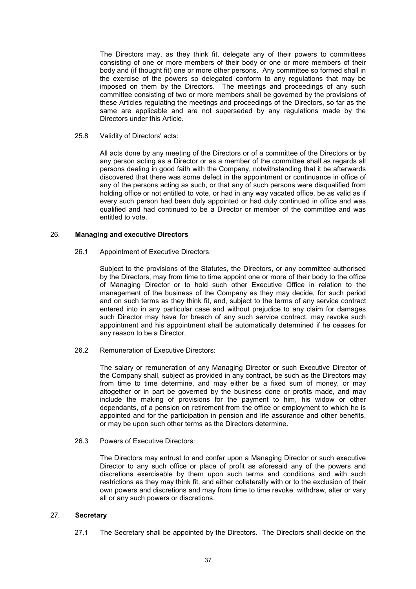The Directors may, as they think fit, delegate any of their powers to committees consisting of one or more members of their body or one or more members of their body and (if thought fit) one or more other persons. Any committee so formed shall in the exercise of the powers so delegated conform to any regulations that may be imposed on them by the Directors. The meetings and proceedings of any such committee consisting of two or more members shall be governed by the provisions of these Articles regulating the meetings and proceedings of the Directors, so far as the same are applicable and are not superseded by any regulations made by the Directors under this Article.

25.8 Validity of Directors' acts:

All acts done by any meeting of the Directors or of a committee of the Directors or by any person acting as a Director or as a member of the committee shall as regards all persons dealing in good faith with the Company, notwithstanding that it be afterwards discovered that there was some defect in the appointment or continuance in office of any of the persons acting as such, or that any of such persons were disqualified from holding office or not entitled to vote, or had in any way vacated office, be as valid as if every such person had been duly appointed or had duly continued in office and was qualified and had continued to be a Director or member of the committee and was entitled to vote.

## 26. Managing and executive Directors

26.1 Appointment of Executive Directors:

Subject to the provisions of the Statutes, the Directors, or any committee authorised by the Directors, may from time to time appoint one or more of their body to the office of Managing Director or to hold such other Executive Office in relation to the management of the business of the Company as they may decide, for such period and on such terms as they think fit, and, subject to the terms of any service contract entered into in any particular case and without prejudice to any claim for damages such Director may have for breach of any such service contract, may revoke such appointment and his appointment shall be automatically determined if he ceases for any reason to be a Director.

26.2 Remuneration of Executive Directors:

The salary or remuneration of any Managing Director or such Executive Director of the Company shall, subject as provided in any contract, be such as the Directors may from time to time determine, and may either be a fixed sum of money, or may altogether or in part be governed by the business done or profits made, and may include the making of provisions for the payment to him, his widow or other dependants, of a pension on retirement from the office or employment to which he is appointed and for the participation in pension and life assurance and other benefits, or may be upon such other terms as the Directors determine.

26.3 Powers of Executive Directors:

The Directors may entrust to and confer upon a Managing Director or such executive Director to any such office or place of profit as aforesaid any of the powers and discretions exercisable by them upon such terms and conditions and with such restrictions as they may think fit, and either collaterally with or to the exclusion of their own powers and discretions and may from time to time revoke, withdraw, alter or vary all or any such powers or discretions.

#### 27. Secretary

27.1 The Secretary shall be appointed by the Directors. The Directors shall decide on the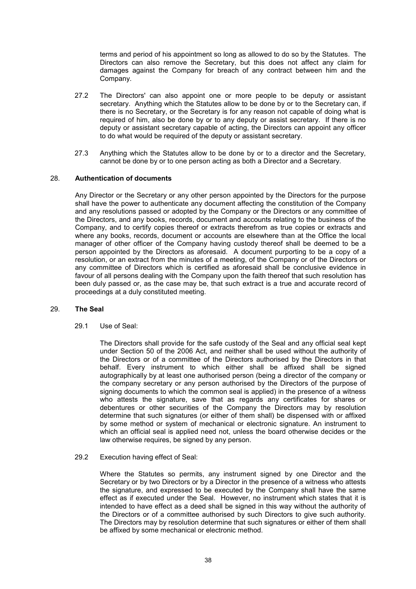terms and period of his appointment so long as allowed to do so by the Statutes. The Directors can also remove the Secretary, but this does not affect any claim for damages against the Company for breach of any contract between him and the Company.

- 27.2 The Directors' can also appoint one or more people to be deputy or assistant secretary. Anything which the Statutes allow to be done by or to the Secretary can, if there is no Secretary, or the Secretary is for any reason not capable of doing what is required of him, also be done by or to any deputy or assist secretary. If there is no deputy or assistant secretary capable of acting, the Directors can appoint any officer to do what would be required of the deputy or assistant secretary.
- 27.3 Anything which the Statutes allow to be done by or to a director and the Secretary, cannot be done by or to one person acting as both a Director and a Secretary.

# 28. Authentication of documents

Any Director or the Secretary or any other person appointed by the Directors for the purpose shall have the power to authenticate any document affecting the constitution of the Company and any resolutions passed or adopted by the Company or the Directors or any committee of the Directors, and any books, records, document and accounts relating to the business of the Company, and to certify copies thereof or extracts therefrom as true copies or extracts and where any books, records, document or accounts are elsewhere than at the Office the local manager of other officer of the Company having custody thereof shall be deemed to be a person appointed by the Directors as aforesaid. A document purporting to be a copy of a resolution, or an extract from the minutes of a meeting, of the Company or of the Directors or any committee of Directors which is certified as aforesaid shall be conclusive evidence in favour of all persons dealing with the Company upon the faith thereof that such resolution has been duly passed or, as the case may be, that such extract is a true and accurate record of proceedings at a duly constituted meeting.

#### 29. The Seal

29.1 Use of Seal:

The Directors shall provide for the safe custody of the Seal and any official seal kept under Section 50 of the 2006 Act, and neither shall be used without the authority of the Directors or of a committee of the Directors authorised by the Directors in that behalf. Every instrument to which either shall be affixed shall be signed autographically by at least one authorised person (being a director of the company or the company secretary or any person authorised by the Directors of the purpose of signing documents to which the common seal is applied) in the presence of a witness who attests the signature, save that as regards any certificates for shares or debentures or other securities of the Company the Directors may by resolution determine that such signatures (or either of them shall) be dispensed with or affixed by some method or system of mechanical or electronic signature. An instrument to which an official seal is applied need not, unless the board otherwise decides or the law otherwise requires, be signed by any person.

# 29.2 Execution having effect of Seal:

Where the Statutes so permits, any instrument signed by one Director and the Secretary or by two Directors or by a Director in the presence of a witness who attests the signature, and expressed to be executed by the Company shall have the same effect as if executed under the Seal. However, no instrument which states that it is intended to have effect as a deed shall be signed in this way without the authority of the Directors or of a committee authorised by such Directors to give such authority. The Directors may by resolution determine that such signatures or either of them shall be affixed by some mechanical or electronic method.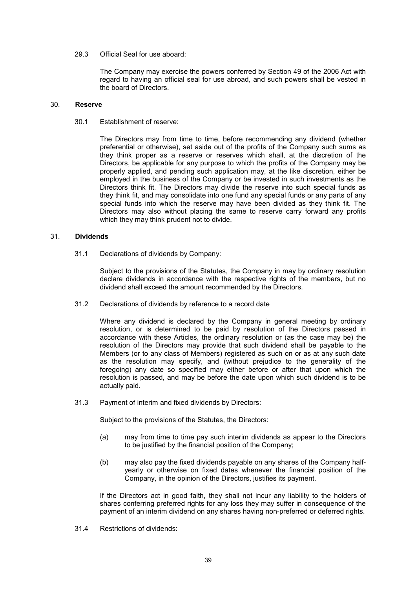#### 29.3 Official Seal for use aboard:

The Company may exercise the powers conferred by Section 49 of the 2006 Act with regard to having an official seal for use abroad, and such powers shall be vested in the board of Directors.

#### 30. Reserve

30.1 Establishment of reserve:

The Directors may from time to time, before recommending any dividend (whether preferential or otherwise), set aside out of the profits of the Company such sums as they think proper as a reserve or reserves which shall, at the discretion of the Directors, be applicable for any purpose to which the profits of the Company may be properly applied, and pending such application may, at the like discretion, either be employed in the business of the Company or be invested in such investments as the Directors think fit. The Directors may divide the reserve into such special funds as they think fit, and may consolidate into one fund any special funds or any parts of any special funds into which the reserve may have been divided as they think fit. The Directors may also without placing the same to reserve carry forward any profits which they may think prudent not to divide.

### 31. Dividends

31.1 Declarations of dividends by Company:

Subject to the provisions of the Statutes, the Company in may by ordinary resolution declare dividends in accordance with the respective rights of the members, but no dividend shall exceed the amount recommended by the Directors.

31.2 Declarations of dividends by reference to a record date

Where any dividend is declared by the Company in general meeting by ordinary resolution, or is determined to be paid by resolution of the Directors passed in accordance with these Articles, the ordinary resolution or (as the case may be) the resolution of the Directors may provide that such dividend shall be payable to the Members (or to any class of Members) registered as such on or as at any such date as the resolution may specify, and (without prejudice to the generality of the foregoing) any date so specified may either before or after that upon which the resolution is passed, and may be before the date upon which such dividend is to be actually paid.

31.3 Payment of interim and fixed dividends by Directors:

Subject to the provisions of the Statutes, the Directors:

- (a) may from time to time pay such interim dividends as appear to the Directors to be justified by the financial position of the Company;
- (b) may also pay the fixed dividends payable on any shares of the Company halfyearly or otherwise on fixed dates whenever the financial position of the Company, in the opinion of the Directors, justifies its payment.

If the Directors act in good faith, they shall not incur any liability to the holders of shares conferring preferred rights for any loss they may suffer in consequence of the payment of an interim dividend on any shares having non-preferred or deferred rights.

31.4 Restrictions of dividends: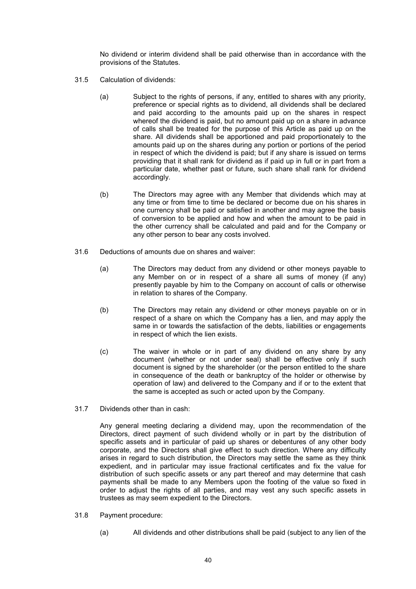No dividend or interim dividend shall be paid otherwise than in accordance with the provisions of the Statutes.

- 31.5 Calculation of dividends:
	- (a) Subject to the rights of persons, if any, entitled to shares with any priority, preference or special rights as to dividend, all dividends shall be declared and paid according to the amounts paid up on the shares in respect whereof the dividend is paid, but no amount paid up on a share in advance of calls shall be treated for the purpose of this Article as paid up on the share. All dividends shall be apportioned and paid proportionately to the amounts paid up on the shares during any portion or portions of the period in respect of which the dividend is paid; but if any share is issued on terms providing that it shall rank for dividend as if paid up in full or in part from a particular date, whether past or future, such share shall rank for dividend accordingly.
	- (b) The Directors may agree with any Member that dividends which may at any time or from time to time be declared or become due on his shares in one currency shall be paid or satisfied in another and may agree the basis of conversion to be applied and how and when the amount to be paid in the other currency shall be calculated and paid and for the Company or any other person to bear any costs involved.
- 31.6 Deductions of amounts due on shares and waiver:
	- (a) The Directors may deduct from any dividend or other moneys payable to any Member on or in respect of a share all sums of money (if any) presently payable by him to the Company on account of calls or otherwise in relation to shares of the Company.
	- (b) The Directors may retain any dividend or other moneys payable on or in respect of a share on which the Company has a lien, and may apply the same in or towards the satisfaction of the debts, liabilities or engagements in respect of which the lien exists.
	- (c) The waiver in whole or in part of any dividend on any share by any document (whether or not under seal) shall be effective only if such document is signed by the shareholder (or the person entitled to the share in consequence of the death or bankruptcy of the holder or otherwise by operation of law) and delivered to the Company and if or to the extent that the same is accepted as such or acted upon by the Company.
- 31.7 Dividends other than in cash:

Any general meeting declaring a dividend may, upon the recommendation of the Directors, direct payment of such dividend wholly or in part by the distribution of specific assets and in particular of paid up shares or debentures of any other body corporate, and the Directors shall give effect to such direction. Where any difficulty arises in regard to such distribution, the Directors may settle the same as they think expedient, and in particular may issue fractional certificates and fix the value for distribution of such specific assets or any part thereof and may determine that cash payments shall be made to any Members upon the footing of the value so fixed in order to adjust the rights of all parties, and may vest any such specific assets in trustees as may seem expedient to the Directors.

- 31.8 Payment procedure:
	- (a) All dividends and other distributions shall be paid (subject to any lien of the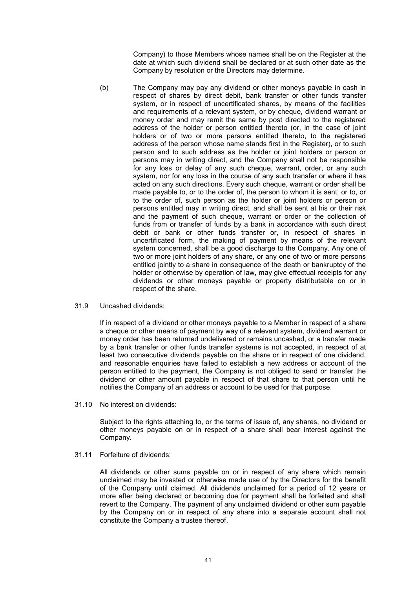Company) to those Members whose names shall be on the Register at the date at which such dividend shall be declared or at such other date as the Company by resolution or the Directors may determine.

- (b) The Company may pay any dividend or other moneys payable in cash in respect of shares by direct debit, bank transfer or other funds transfer system, or in respect of uncertificated shares, by means of the facilities and requirements of a relevant system, or by cheque, dividend warrant or money order and may remit the same by post directed to the registered address of the holder or person entitled thereto (or, in the case of joint holders or of two or more persons entitled thereto, to the registered address of the person whose name stands first in the Register), or to such person and to such address as the holder or joint holders or person or persons may in writing direct, and the Company shall not be responsible for any loss or delay of any such cheque, warrant, order, or any such system, nor for any loss in the course of any such transfer or where it has acted on any such directions. Every such cheque, warrant or order shall be made payable to, or to the order of, the person to whom it is sent, or to, or to the order of, such person as the holder or joint holders or person or persons entitled may in writing direct, and shall be sent at his or their risk and the payment of such cheque, warrant or order or the collection of funds from or transfer of funds by a bank in accordance with such direct debit or bank or other funds transfer or, in respect of shares in uncertificated form, the making of payment by means of the relevant system concerned, shall be a good discharge to the Company. Any one of two or more joint holders of any share, or any one of two or more persons entitled jointly to a share in consequence of the death or bankruptcy of the holder or otherwise by operation of law, may give effectual receipts for any dividends or other moneys payable or property distributable on or in respect of the share.
- 31.9 Uncashed dividends:

If in respect of a dividend or other moneys payable to a Member in respect of a share a cheque or other means of payment by way of a relevant system, dividend warrant or money order has been returned undelivered or remains uncashed, or a transfer made by a bank transfer or other funds transfer systems is not accepted, in respect of at least two consecutive dividends payable on the share or in respect of one dividend, and reasonable enquiries have failed to establish a new address or account of the person entitled to the payment, the Company is not obliged to send or transfer the dividend or other amount payable in respect of that share to that person until he notifies the Company of an address or account to be used for that purpose.

31.10 No interest on dividends:

Subject to the rights attaching to, or the terms of issue of, any shares, no dividend or other moneys payable on or in respect of a share shall bear interest against the Company.

31.11 Forfeiture of dividends:

All dividends or other sums payable on or in respect of any share which remain unclaimed may be invested or otherwise made use of by the Directors for the benefit of the Company until claimed. All dividends unclaimed for a period of 12 years or more after being declared or becoming due for payment shall be forfeited and shall revert to the Company. The payment of any unclaimed dividend or other sum payable by the Company on or in respect of any share into a separate account shall not constitute the Company a trustee thereof.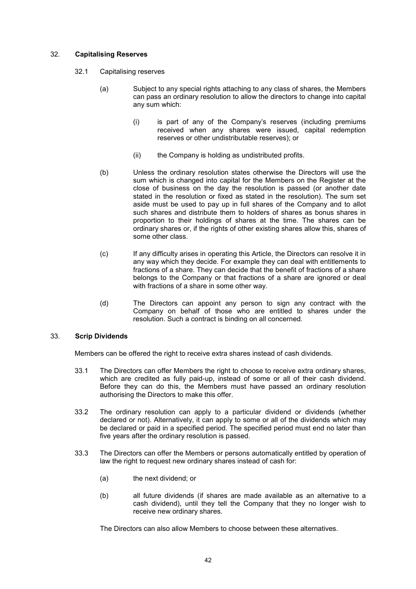# 32. Capitalising Reserves

- 32.1 Capitalising reserves
	- (a) Subject to any special rights attaching to any class of shares, the Members can pass an ordinary resolution to allow the directors to change into capital any sum which:
		- (i) is part of any of the Company's reserves (including premiums received when any shares were issued, capital redemption reserves or other undistributable reserves); or
		- (ii) the Company is holding as undistributed profits.
	- (b) Unless the ordinary resolution states otherwise the Directors will use the sum which is changed into capital for the Members on the Register at the close of business on the day the resolution is passed (or another date stated in the resolution or fixed as stated in the resolution). The sum set aside must be used to pay up in full shares of the Company and to allot such shares and distribute them to holders of shares as bonus shares in proportion to their holdings of shares at the time. The shares can be ordinary shares or, if the rights of other existing shares allow this, shares of some other class.
	- (c) If any difficulty arises in operating this Article, the Directors can resolve it in any way which they decide. For example they can deal with entitlements to fractions of a share. They can decide that the benefit of fractions of a share belongs to the Company or that fractions of a share are ignored or deal with fractions of a share in some other way.
	- (d) The Directors can appoint any person to sign any contract with the Company on behalf of those who are entitled to shares under the resolution. Such a contract is binding on all concerned.

#### 33. Scrip Dividends

Members can be offered the right to receive extra shares instead of cash dividends.

- 33.1 The Directors can offer Members the right to choose to receive extra ordinary shares, which are credited as fully paid-up, instead of some or all of their cash dividend. Before they can do this, the Members must have passed an ordinary resolution authorising the Directors to make this offer.
- 33.2 The ordinary resolution can apply to a particular dividend or dividends (whether declared or not). Alternatively, it can apply to some or all of the dividends which may be declared or paid in a specified period. The specified period must end no later than five years after the ordinary resolution is passed.
- 33.3 The Directors can offer the Members or persons automatically entitled by operation of law the right to request new ordinary shares instead of cash for:
	- (a) the next dividend; or
	- (b) all future dividends (if shares are made available as an alternative to a cash dividend), until they tell the Company that they no longer wish to receive new ordinary shares.

The Directors can also allow Members to choose between these alternatives.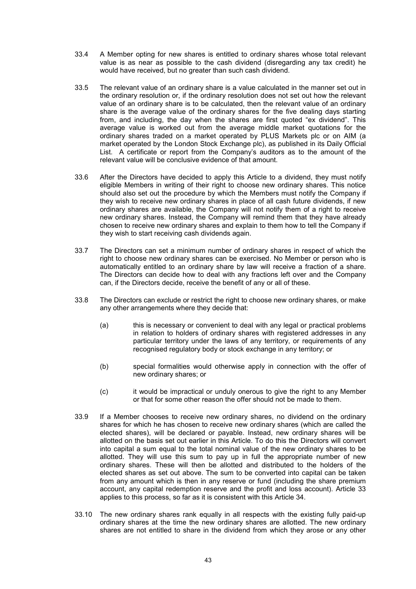- 33.4 A Member opting for new shares is entitled to ordinary shares whose total relevant value is as near as possible to the cash dividend (disregarding any tax credit) he would have received, but no greater than such cash dividend.
- 33.5 The relevant value of an ordinary share is a value calculated in the manner set out in the ordinary resolution or, if the ordinary resolution does not set out how the relevant value of an ordinary share is to be calculated, then the relevant value of an ordinary share is the average value of the ordinary shares for the five dealing days starting from, and including, the day when the shares are first quoted "ex dividend". This average value is worked out from the average middle market quotations for the ordinary shares traded on a market operated by PLUS Markets plc or on AIM (a market operated by the London Stock Exchange plc), as published in its Daily Official List. A certificate or report from the Company's auditors as to the amount of the relevant value will be conclusive evidence of that amount.
- 33.6 After the Directors have decided to apply this Article to a dividend, they must notify eligible Members in writing of their right to choose new ordinary shares. This notice should also set out the procedure by which the Members must notify the Company if they wish to receive new ordinary shares in place of all cash future dividends, if new ordinary shares are available, the Company will not notify them of a right to receive new ordinary shares. Instead, the Company will remind them that they have already chosen to receive new ordinary shares and explain to them how to tell the Company if they wish to start receiving cash dividends again.
- 33.7 The Directors can set a minimum number of ordinary shares in respect of which the right to choose new ordinary shares can be exercised. No Member or person who is automatically entitled to an ordinary share by law will receive a fraction of a share. The Directors can decide how to deal with any fractions left over and the Company can, if the Directors decide, receive the benefit of any or all of these.
- 33.8 The Directors can exclude or restrict the right to choose new ordinary shares, or make any other arrangements where they decide that:
	- (a) this is necessary or convenient to deal with any legal or practical problems in relation to holders of ordinary shares with registered addresses in any particular territory under the laws of any territory, or requirements of any recognised regulatory body or stock exchange in any territory; or
	- (b) special formalities would otherwise apply in connection with the offer of new ordinary shares; or
	- (c) it would be impractical or unduly onerous to give the right to any Member or that for some other reason the offer should not be made to them.
- 33.9 If a Member chooses to receive new ordinary shares, no dividend on the ordinary shares for which he has chosen to receive new ordinary shares (which are called the elected shares), will be declared or payable. Instead, new ordinary shares will be allotted on the basis set out earlier in this Article. To do this the Directors will convert into capital a sum equal to the total nominal value of the new ordinary shares to be allotted. They will use this sum to pay up in full the appropriate number of new ordinary shares. These will then be allotted and distributed to the holders of the elected shares as set out above. The sum to be converted into capital can be taken from any amount which is then in any reserve or fund (including the share premium account, any capital redemption reserve and the profit and loss account). Article 33 applies to this process, so far as it is consistent with this Article 34.
- 33.10 The new ordinary shares rank equally in all respects with the existing fully paid-up ordinary shares at the time the new ordinary shares are allotted. The new ordinary shares are not entitled to share in the dividend from which they arose or any other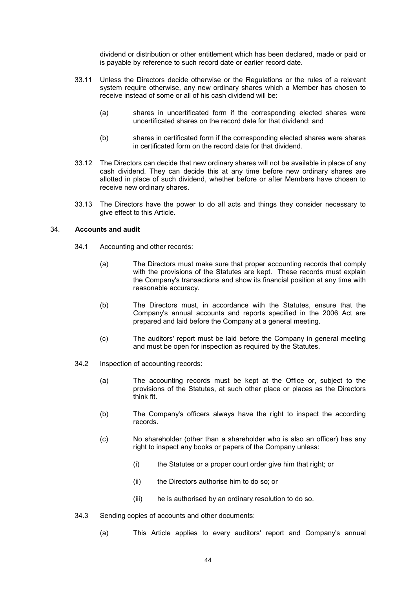dividend or distribution or other entitlement which has been declared, made or paid or is payable by reference to such record date or earlier record date.

- 33.11 Unless the Directors decide otherwise or the Regulations or the rules of a relevant system require otherwise, any new ordinary shares which a Member has chosen to receive instead of some or all of his cash dividend will be:
	- (a) shares in uncertificated form if the corresponding elected shares were uncertificated shares on the record date for that dividend; and
	- (b) shares in certificated form if the corresponding elected shares were shares in certificated form on the record date for that dividend.
- 33.12 The Directors can decide that new ordinary shares will not be available in place of any cash dividend. They can decide this at any time before new ordinary shares are allotted in place of such dividend, whether before or after Members have chosen to receive new ordinary shares.
- 33.13 The Directors have the power to do all acts and things they consider necessary to give effect to this Article.

#### 34. Accounts and audit

- 34.1 Accounting and other records:
	- (a) The Directors must make sure that proper accounting records that comply with the provisions of the Statutes are kept. These records must explain the Company's transactions and show its financial position at any time with reasonable accuracy.
	- (b) The Directors must, in accordance with the Statutes, ensure that the Company's annual accounts and reports specified in the 2006 Act are prepared and laid before the Company at a general meeting.
	- (c) The auditors' report must be laid before the Company in general meeting and must be open for inspection as required by the Statutes.
- 34.2 Inspection of accounting records:
	- (a) The accounting records must be kept at the Office or, subject to the provisions of the Statutes, at such other place or places as the Directors think fit.
	- (b) The Company's officers always have the right to inspect the according records.
	- (c) No shareholder (other than a shareholder who is also an officer) has any right to inspect any books or papers of the Company unless:
		- (i) the Statutes or a proper court order give him that right; or
		- (ii) the Directors authorise him to do so; or
		- (iii) he is authorised by an ordinary resolution to do so.
- 34.3 Sending copies of accounts and other documents:
	- (a) This Article applies to every auditors' report and Company's annual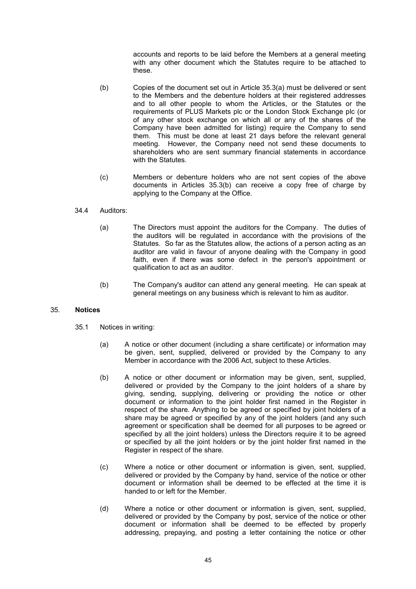accounts and reports to be laid before the Members at a general meeting with any other document which the Statutes require to be attached to these.

- (b) Copies of the document set out in Article 35.3(a) must be delivered or sent to the Members and the debenture holders at their registered addresses and to all other people to whom the Articles, or the Statutes or the requirements of PLUS Markets plc or the London Stock Exchange plc (or of any other stock exchange on which all or any of the shares of the Company have been admitted for listing) require the Company to send them. This must be done at least 21 days before the relevant general meeting. However, the Company need not send these documents to shareholders who are sent summary financial statements in accordance with the Statutes.
- (c) Members or debenture holders who are not sent copies of the above documents in Articles 35.3(b) can receive a copy free of charge by applying to the Company at the Office.

# 34.4 Auditors:

- (a) The Directors must appoint the auditors for the Company. The duties of the auditors will be regulated in accordance with the provisions of the Statutes. So far as the Statutes allow, the actions of a person acting as an auditor are valid in favour of anyone dealing with the Company in good faith, even if there was some defect in the person's appointment or qualification to act as an auditor.
- (b) The Company's auditor can attend any general meeting. He can speak at general meetings on any business which is relevant to him as auditor.

# 35. Notices

- 35.1 Notices in writing:
	- (a) A notice or other document (including a share certificate) or information may be given, sent, supplied, delivered or provided by the Company to any Member in accordance with the 2006 Act, subject to these Articles.
	- (b) A notice or other document or information may be given, sent, supplied, delivered or provided by the Company to the joint holders of a share by giving, sending, supplying, delivering or providing the notice or other document or information to the joint holder first named in the Register in respect of the share. Anything to be agreed or specified by joint holders of a share may be agreed or specified by any of the joint holders (and any such agreement or specification shall be deemed for all purposes to be agreed or specified by all the joint holders) unless the Directors require it to be agreed or specified by all the joint holders or by the joint holder first named in the Register in respect of the share.
	- (c) Where a notice or other document or information is given, sent, supplied, delivered or provided by the Company by hand, service of the notice or other document or information shall be deemed to be effected at the time it is handed to or left for the Member.
	- (d) Where a notice or other document or information is given, sent, supplied, delivered or provided by the Company by post, service of the notice or other document or information shall be deemed to be effected by properly addressing, prepaying, and posting a letter containing the notice or other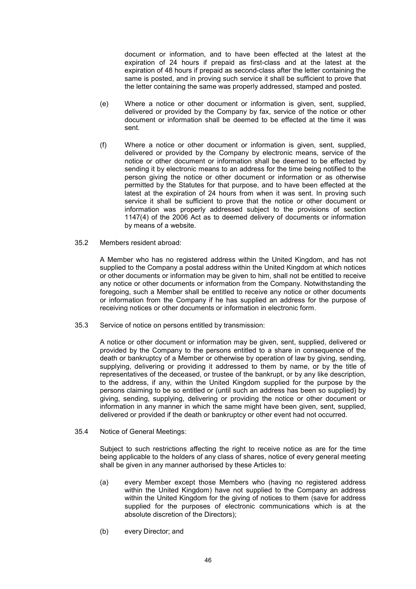document or information, and to have been effected at the latest at the expiration of 24 hours if prepaid as first-class and at the latest at the expiration of 48 hours if prepaid as second-class after the letter containing the same is posted, and in proving such service it shall be sufficient to prove that the letter containing the same was properly addressed, stamped and posted.

- (e) Where a notice or other document or information is given, sent, supplied, delivered or provided by the Company by fax, service of the notice or other document or information shall be deemed to be effected at the time it was sent.
- (f) Where a notice or other document or information is given, sent, supplied, delivered or provided by the Company by electronic means, service of the notice or other document or information shall be deemed to be effected by sending it by electronic means to an address for the time being notified to the person giving the notice or other document or information or as otherwise permitted by the Statutes for that purpose, and to have been effected at the latest at the expiration of 24 hours from when it was sent. In proving such service it shall be sufficient to prove that the notice or other document or information was properly addressed subject to the provisions of section 1147(4) of the 2006 Act as to deemed delivery of documents or information by means of a website.
- 35.2 Members resident abroad:

A Member who has no registered address within the United Kingdom, and has not supplied to the Company a postal address within the United Kingdom at which notices or other documents or information may be given to him, shall not be entitled to receive any notice or other documents or information from the Company. Notwithstanding the foregoing, such a Member shall be entitled to receive any notice or other documents or information from the Company if he has supplied an address for the purpose of receiving notices or other documents or information in electronic form.

35.3 Service of notice on persons entitled by transmission:

A notice or other document or information may be given, sent, supplied, delivered or provided by the Company to the persons entitled to a share in consequence of the death or bankruptcy of a Member or otherwise by operation of law by giving, sending, supplying, delivering or providing it addressed to them by name, or by the title of representatives of the deceased, or trustee of the bankrupt, or by any like description, to the address, if any, within the United Kingdom supplied for the purpose by the persons claiming to be so entitled or (until such an address has been so supplied) by giving, sending, supplying, delivering or providing the notice or other document or information in any manner in which the same might have been given, sent, supplied, delivered or provided if the death or bankruptcy or other event had not occurred.

35.4 Notice of General Meetings:

Subject to such restrictions affecting the right to receive notice as are for the time being applicable to the holders of any class of shares, notice of every general meeting shall be given in any manner authorised by these Articles to:

- (a) every Member except those Members who (having no registered address within the United Kingdom) have not supplied to the Company an address within the United Kingdom for the giving of notices to them (save for address supplied for the purposes of electronic communications which is at the absolute discretion of the Directors);
- (b) every Director; and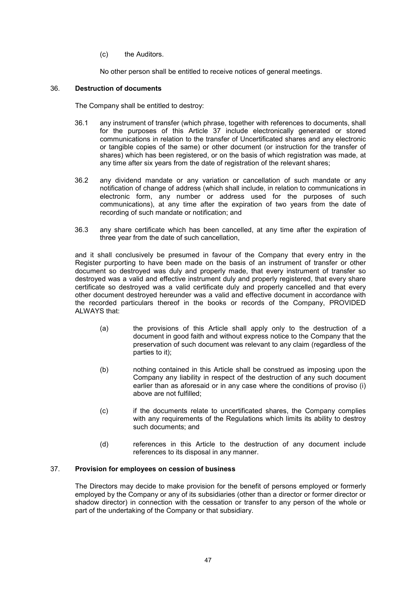(c) the Auditors.

No other person shall be entitled to receive notices of general meetings.

# 36. Destruction of documents

The Company shall be entitled to destroy:

- 36.1 any instrument of transfer (which phrase, together with references to documents, shall for the purposes of this Article 37 include electronically generated or stored communications in relation to the transfer of Uncertificated shares and any electronic or tangible copies of the same) or other document (or instruction for the transfer of shares) which has been registered, or on the basis of which registration was made, at any time after six years from the date of registration of the relevant shares;
- 36.2 any dividend mandate or any variation or cancellation of such mandate or any notification of change of address (which shall include, in relation to communications in electronic form, any number or address used for the purposes of such communications), at any time after the expiration of two years from the date of recording of such mandate or notification; and
- 36.3 any share certificate which has been cancelled, at any time after the expiration of three year from the date of such cancellation,

and it shall conclusively be presumed in favour of the Company that every entry in the Register purporting to have been made on the basis of an instrument of transfer or other document so destroyed was duly and properly made, that every instrument of transfer so destroyed was a valid and effective instrument duly and properly registered, that every share certificate so destroyed was a valid certificate duly and properly cancelled and that every other document destroyed hereunder was a valid and effective document in accordance with the recorded particulars thereof in the books or records of the Company, PROVIDED ALWAYS that:

- (a) the provisions of this Article shall apply only to the destruction of a document in good faith and without express notice to the Company that the preservation of such document was relevant to any claim (regardless of the parties to it);
- (b) nothing contained in this Article shall be construed as imposing upon the Company any liability in respect of the destruction of any such document earlier than as aforesaid or in any case where the conditions of proviso (i) above are not fulfilled;
- (c) if the documents relate to uncertificated shares, the Company complies with any requirements of the Regulations which limits its ability to destroy such documents; and
- (d) references in this Article to the destruction of any document include references to its disposal in any manner.

# 37. Provision for employees on cession of business

The Directors may decide to make provision for the benefit of persons employed or formerly employed by the Company or any of its subsidiaries (other than a director or former director or shadow director) in connection with the cessation or transfer to any person of the whole or part of the undertaking of the Company or that subsidiary.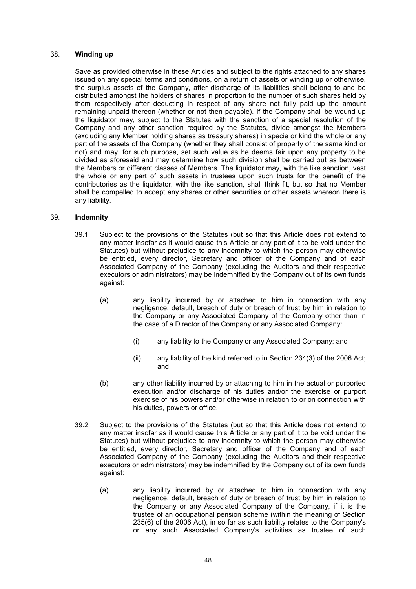## 38. Winding up

Save as provided otherwise in these Articles and subject to the rights attached to any shares issued on any special terms and conditions, on a return of assets or winding up or otherwise, the surplus assets of the Company, after discharge of its liabilities shall belong to and be distributed amongst the holders of shares in proportion to the number of such shares held by them respectively after deducting in respect of any share not fully paid up the amount remaining unpaid thereon (whether or not then payable). If the Company shall be wound up the liquidator may, subject to the Statutes with the sanction of a special resolution of the Company and any other sanction required by the Statutes, divide amongst the Members (excluding any Member holding shares as treasury shares) in specie or kind the whole or any part of the assets of the Company (whether they shall consist of property of the same kind or not) and may, for such purpose, set such value as he deems fair upon any property to be divided as aforesaid and may determine how such division shall be carried out as between the Members or different classes of Members. The liquidator may, with the like sanction, vest the whole or any part of such assets in trustees upon such trusts for the benefit of the contributories as the liquidator, with the like sanction, shall think fit, but so that no Member shall be compelled to accept any shares or other securities or other assets whereon there is any liability.

#### 39. Indemnity

- 39.1 Subject to the provisions of the Statutes (but so that this Article does not extend to any matter insofar as it would cause this Article or any part of it to be void under the Statutes) but without prejudice to any indemnity to which the person may otherwise be entitled, every director, Secretary and officer of the Company and of each Associated Company of the Company (excluding the Auditors and their respective executors or administrators) may be indemnified by the Company out of its own funds against:
	- (a) any liability incurred by or attached to him in connection with any negligence, default, breach of duty or breach of trust by him in relation to the Company or any Associated Company of the Company other than in the case of a Director of the Company or any Associated Company:
		- (i) any liability to the Company or any Associated Company; and
		- (ii) any liability of the kind referred to in Section 234(3) of the 2006 Act; and
	- (b) any other liability incurred by or attaching to him in the actual or purported execution and/or discharge of his duties and/or the exercise or purport exercise of his powers and/or otherwise in relation to or on connection with his duties, powers or office.
- 39.2 Subject to the provisions of the Statutes (but so that this Article does not extend to any matter insofar as it would cause this Article or any part of it to be void under the Statutes) but without prejudice to any indemnity to which the person may otherwise be entitled, every director, Secretary and officer of the Company and of each Associated Company of the Company (excluding the Auditors and their respective executors or administrators) may be indemnified by the Company out of its own funds against:
	- (a) any liability incurred by or attached to him in connection with any negligence, default, breach of duty or breach of trust by him in relation to the Company or any Associated Company of the Company, if it is the trustee of an occupational pension scheme (within the meaning of Section 235(6) of the 2006 Act), in so far as such liability relates to the Company's or any such Associated Company's activities as trustee of such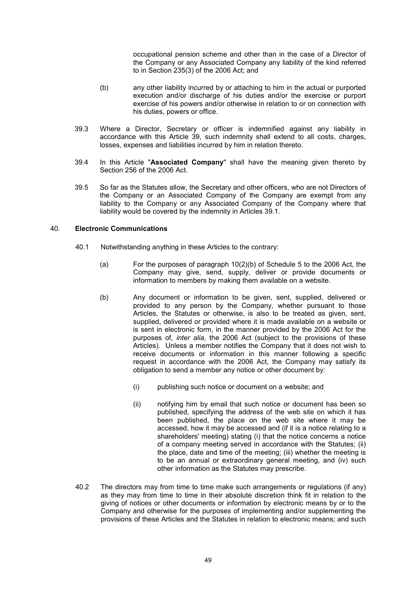occupational pension scheme and other than in the case of a Director of the Company or any Associated Company any liability of the kind referred to in Section 235(3) of the 2006 Act; and

- (b) any other liability incurred by or attaching to him in the actual or purported execution and/or discharge of his duties and/or the exercise or purport exercise of his powers and/or otherwise in relation to or on connection with his duties, powers or office.
- 39.3 Where a Director, Secretary or officer is indemnified against any liability in accordance with this Article 39, such indemnity shall extend to all costs, charges, losses, expenses and liabilities incurred by him in relation thereto.
- 39.4 In this Article "Associated Company" shall have the meaning given thereto by Section 256 of the 2006 Act.
- 39.5 So far as the Statutes allow, the Secretary and other officers, who are not Directors of the Company or an Associated Company of the Company are exempt from any liability to the Company or any Associated Company of the Company where that liability would be covered by the indemnity in Articles 39.1.

# 40. Electronic Communications

- 40.1 Notwithstanding anything in these Articles to the contrary:
	- (a) For the purposes of paragraph 10(2)(b) of Schedule 5 to the 2006 Act, the Company may give, send, supply, deliver or provide documents or information to members by making them available on a website.
	- (b) Any document or information to be given, sent, supplied, delivered or provided to any person by the Company, whether pursuant to those Articles, the Statutes or otherwise, is also to be treated as given, sent, supplied, delivered or provided where it is made available on a website or is sent in electronic form, in the manner provided by the 2006 Act for the purposes of, inter alia, the 2006 Act (subject to the provisions of these Articles). Unless a member notifies the Company that it does not wish to receive documents or information in this manner following a specific request in accordance with the 2006 Act, the Company may satisfy its obligation to send a member any notice or other document by:
		- (i) publishing such notice or document on a website; and
		- (ii) notifying him by email that such notice or document has been so published, specifying the address of the web site on which it has been published, the place on the web site where it may be accessed, how it may be accessed and (if it is a notice relating to a shareholders' meeting) stating (i) that the notice concerns a notice of a company meeting served in accordance with the Statutes; (ii) the place, date and time of the meeting; (iii) whether the meeting is to be an annual or extraordinary general meeting, and (iv) such other information as the Statutes may prescribe.
- 40.2 The directors may from time to time make such arrangements or regulations (if any) as they may from time to time in their absolute discretion think fit in relation to the giving of notices or other documents or information by electronic means by or to the Company and otherwise for the purposes of implementing and/or supplementing the provisions of these Articles and the Statutes in relation to electronic means; and such